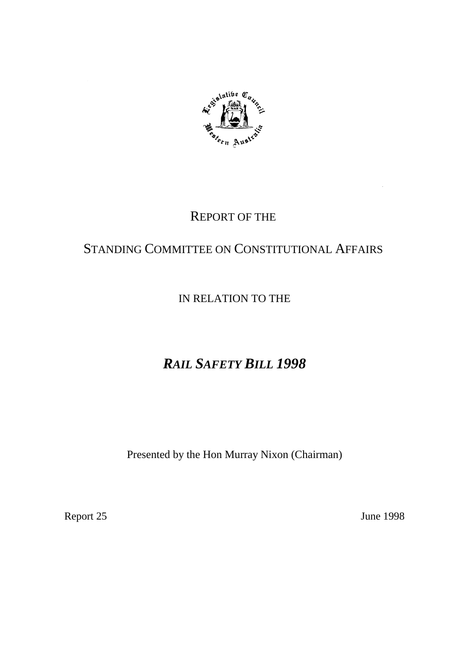

## REPORT OF THE

## STANDING COMMITTEE ON CONSTITUTIONAL AFFAIRS

## IN RELATION TO THE

# *RAIL SAFETY BILL 1998*

Presented by the Hon Murray Nixon (Chairman)

Report 25 June 1998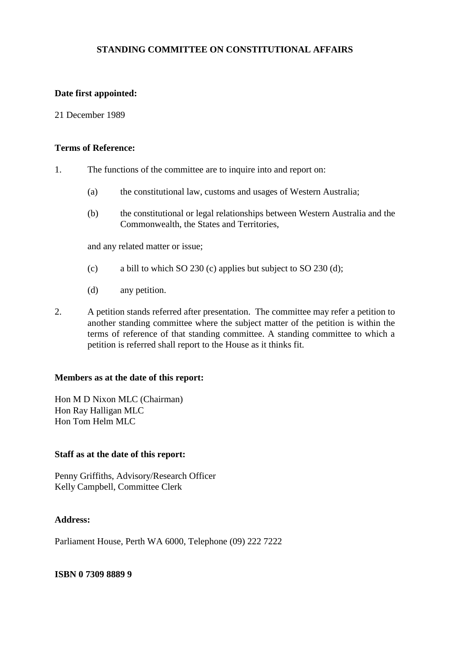## **STANDING COMMITTEE ON CONSTITUTIONAL AFFAIRS**

## **Date first appointed:**

## 21 December 1989

## **Terms of Reference:**

- 1. The functions of the committee are to inquire into and report on:
	- (a) the constitutional law, customs and usages of Western Australia;
	- (b) the constitutional or legal relationships between Western Australia and the Commonwealth, the States and Territories,

and any related matter or issue;

- (c) a bill to which SO 230 (c) applies but subject to SO 230 (d);
- (d) any petition.
- 2. A petition stands referred after presentation. The committee may refer a petition to another standing committee where the subject matter of the petition is within the terms of reference of that standing committee. A standing committee to which a petition is referred shall report to the House as it thinks fit.

#### **Members as at the date of this report:**

Hon M D Nixon MLC (Chairman) Hon Ray Halligan MLC Hon Tom Helm MLC

#### **Staff as at the date of this report:**

Penny Griffiths, Advisory/Research Officer Kelly Campbell, Committee Clerk

## **Address:**

Parliament House, Perth WA 6000, Telephone (09) 222 7222

#### **ISBN 0 7309 8889 9**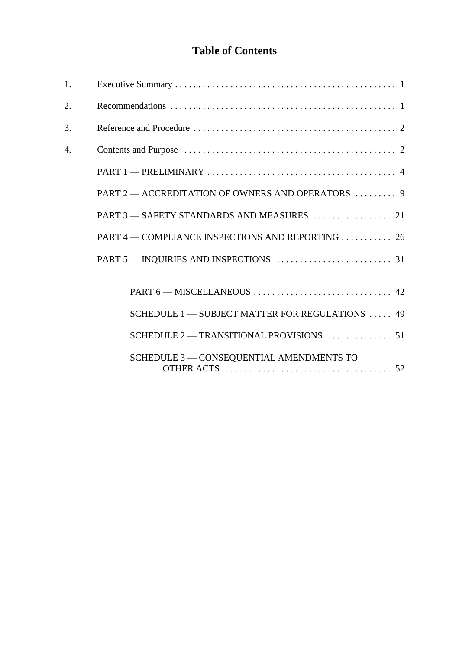## **Table of Contents**

| 1. |                                                   |
|----|---------------------------------------------------|
| 2. |                                                   |
| 3. |                                                   |
| 4. |                                                   |
|    |                                                   |
|    | PART 2 - ACCREDITATION OF OWNERS AND OPERATORS  9 |
|    |                                                   |
|    | PART 4 – COMPLIANCE INSPECTIONS AND REPORTING  26 |
|    |                                                   |
|    |                                                   |
|    |                                                   |
|    | SCHEDULE 1 - SUBJECT MATTER FOR REGULATIONS  49   |
|    |                                                   |
|    | SCHEDULE 3 - CONSEQUENTIAL AMENDMENTS TO          |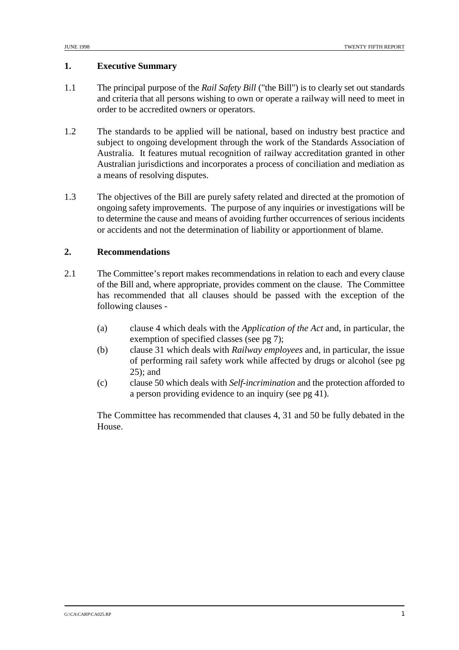## **1. Executive Summary**

- 1.1 The principal purpose of the *Rail Safety Bill* ("the Bill") is to clearly set out standards and criteria that all persons wishing to own or operate a railway will need to meet in order to be accredited owners or operators.
- 1.2 The standards to be applied will be national, based on industry best practice and subject to ongoing development through the work of the Standards Association of Australia. It features mutual recognition of railway accreditation granted in other Australian jurisdictions and incorporates a process of conciliation and mediation as a means of resolving disputes.
- 1.3 The objectives of the Bill are purely safety related and directed at the promotion of ongoing safety improvements. The purpose of any inquiries or investigations will be to determine the cause and means of avoiding further occurrences of serious incidents or accidents and not the determination of liability or apportionment of blame.

## **2. Recommendations**

- 2.1 The Committee's report makes recommendations in relation to each and every clause of the Bill and, where appropriate, provides comment on the clause. The Committee has recommended that all clauses should be passed with the exception of the following clauses -
	- (a) clause 4 which deals with the *Application of the Act* and, in particular, the exemption of specified classes (see pg 7);
	- (b) clause 31 which deals with *Railway employees* and, in particular, the issue of performing rail safety work while affected by drugs or alcohol (see pg 25); and
	- (c) clause 50 which deals with *Self-incrimination* and the protection afforded to a person providing evidence to an inquiry (see pg 41).

The Committee has recommended that clauses 4, 31 and 50 be fully debated in the House.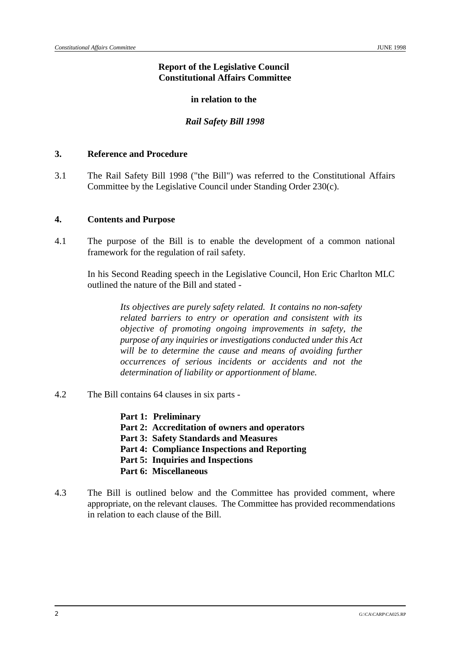## **Report of the Legislative Council Constitutional Affairs Committee**

## **in relation to the**

## *Rail Safety Bill 1998*

## **3. Reference and Procedure**

3.1 The Rail Safety Bill 1998 ("the Bill") was referred to the Constitutional Affairs Committee by the Legislative Council under Standing Order 230(c).

## **4. Contents and Purpose**

4.1 The purpose of the Bill is to enable the development of a common national framework for the regulation of rail safety.

In his Second Reading speech in the Legislative Council, Hon Eric Charlton MLC outlined the nature of the Bill and stated -

> *Its objectives are purely safety related. It contains no non-safety related barriers to entry or operation and consistent with its objective of promoting ongoing improvements in safety, the purpose of any inquiries or investigations conducted under this Act will be to determine the cause and means of avoiding further occurrences of serious incidents or accidents and not the determination of liability or apportionment of blame.*

- 4.2 The Bill contains 64 clauses in six parts
	- **Part 1: Preliminary**
	- **Part 2: Accreditation of owners and operators**
	- **Part 3: Safety Standards and Measures**
	- **Part 4: Compliance Inspections and Reporting**
	- **Part 5: Inquiries and Inspections**
	- **Part 6: Miscellaneous**
- 4.3 The Bill is outlined below and the Committee has provided comment, where appropriate, on the relevant clauses. The Committee has provided recommendations in relation to each clause of the Bill.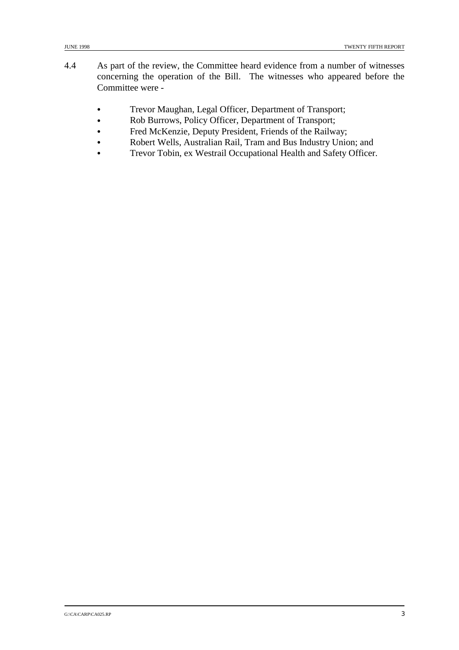- 4.4 As part of the review, the Committee heard evidence from a number of witnesses concerning the operation of the Bill. The witnesses who appeared before the Committee were -
	- & Trevor Maughan, Legal Officer, Department of Transport;
	- & Rob Burrows, Policy Officer, Department of Transport;
	- & Fred McKenzie, Deputy President, Friends of the Railway;
	- & Robert Wells, Australian Rail, Tram and Bus Industry Union; and
	- & Trevor Tobin, ex Westrail Occupational Health and Safety Officer.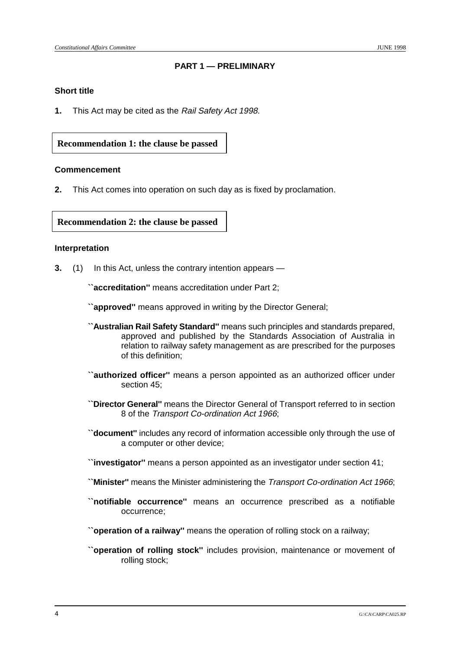## **PART 1 — PRELIMINARY**

## **Short title**

**1.** This Act may be cited as the Rail Safety Act 1998.

## **Recommendation 1: the clause be passed**

#### **Commencement**

**2.** This Act comes into operation on such day as is fixed by proclamation.

**Recommendation 2: the clause be passed**

## **Interpretation**

**3.** (1) In this Act, unless the contrary intention appears —

**``accreditation''** means accreditation under Part 2;

**``approved''** means approved in writing by the Director General;

- **``Australian Rail Safety Standard''** means such principles and standards prepared, approved and published by the Standards Association of Australia in relation to railway safety management as are prescribed for the purposes of this definition;
- **``authorized officer''** means a person appointed as an authorized officer under section 45;
- **``Director General''** means the Director General of Transport referred to in section 8 of the Transport Co-ordination Act 1966;
- **``document''** includes any record of information accessible only through the use of a computer or other device;
- **``investigator''** means a person appointed as an investigator under section 41;
- **``Minister''** means the Minister administering the Transport Co-ordination Act 1966;
- **``notifiable occurrence''** means an occurrence prescribed as a notifiable occurrence;
- **``operation of a railway''** means the operation of rolling stock on a railway;
- **``operation of rolling stock''** includes provision, maintenance or movement of rolling stock;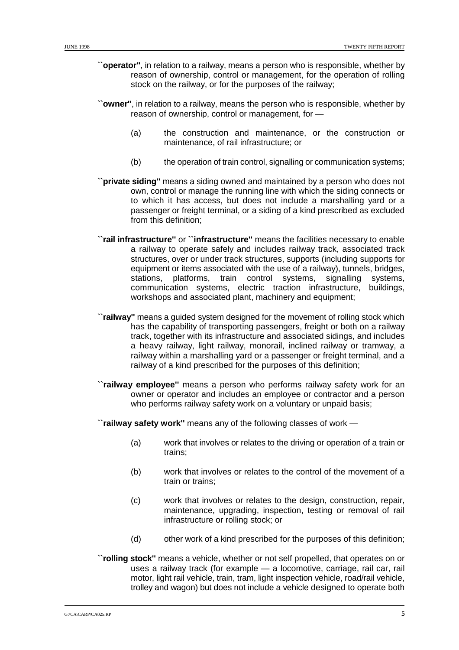- **``operator''**, in relation to a railway, means a person who is responsible, whether by reason of ownership, control or management, for the operation of rolling stock on the railway, or for the purposes of the railway;
- **``owner''**, in relation to a railway, means the person who is responsible, whether by reason of ownership, control or management, for —
	- (a) the construction and maintenance, or the construction or maintenance, of rail infrastructure; or
	- (b) the operation of train control, signalling or communication systems;
- **``private siding''** means a siding owned and maintained by a person who does not own, control or manage the running line with which the siding connects or to which it has access, but does not include a marshalling yard or a passenger or freight terminal, or a siding of a kind prescribed as excluded from this definition;
- **``rail infrastructure''** or **``infrastructure''** means the facilities necessary to enable a railway to operate safely and includes railway track, associated track structures, over or under track structures, supports (including supports for equipment or items associated with the use of a railway), tunnels, bridges, stations, platforms, train control systems, signalling systems, communication systems, electric traction infrastructure, buildings, workshops and associated plant, machinery and equipment;
- **``railway''** means a guided system designed for the movement of rolling stock which has the capability of transporting passengers, freight or both on a railway track, together with its infrastructure and associated sidings, and includes a heavy railway, light railway, monorail, inclined railway or tramway, a railway within a marshalling yard or a passenger or freight terminal, and a railway of a kind prescribed for the purposes of this definition;
- **``railway employee''** means a person who performs railway safety work for an owner or operator and includes an employee or contractor and a person who performs railway safety work on a voluntary or unpaid basis;
- **``railway safety work''** means any of the following classes of work
	- (a) work that involves or relates to the driving or operation of a train or trains;
	- (b) work that involves or relates to the control of the movement of a train or trains;
	- (c) work that involves or relates to the design, construction, repair, maintenance, upgrading, inspection, testing or removal of rail infrastructure or rolling stock; or
	- (d) other work of a kind prescribed for the purposes of this definition;
- **``rolling stock''** means a vehicle, whether or not self propelled, that operates on or uses a railway track (for example — a locomotive, carriage, rail car, rail motor, light rail vehicle, train, tram, light inspection vehicle, road/rail vehicle, trolley and wagon) but does not include a vehicle designed to operate both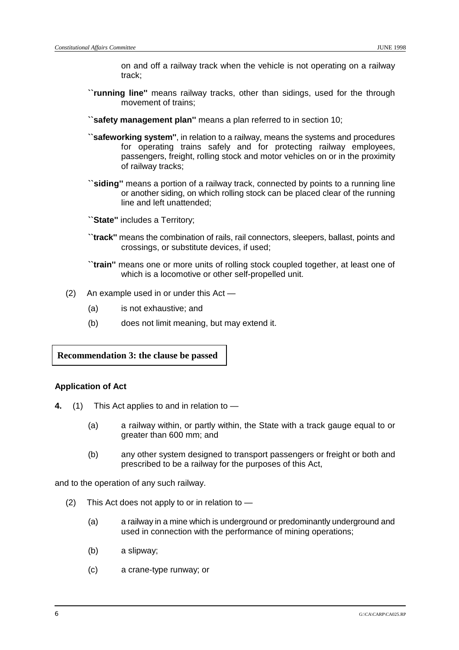on and off a railway track when the vehicle is not operating on a railway track;

- **``running line''** means railway tracks, other than sidings, used for the through movement of trains;
- **``safety management plan''** means a plan referred to in section 10;
- **``safeworking system''**, in relation to a railway, means the systems and procedures for operating trains safely and for protecting railway employees, passengers, freight, rolling stock and motor vehicles on or in the proximity of railway tracks;
- **``siding''** means a portion of a railway track, connected by points to a running line or another siding, on which rolling stock can be placed clear of the running line and left unattended;

**``State''** includes a Territory;

- **``track''** means the combination of rails, rail connectors, sleepers, ballast, points and crossings, or substitute devices, if used;
- **``train''** means one or more units of rolling stock coupled together, at least one of which is a locomotive or other self-propelled unit.
- (2) An example used in or under this Act
	- (a) is not exhaustive; and
	- (b) does not limit meaning, but may extend it.

**Recommendation 3: the clause be passed**

## **Application of Act**

- **4.** (1) This Act applies to and in relation to
	- (a) a railway within, or partly within, the State with a track gauge equal to or greater than 600 mm; and
	- (b) any other system designed to transport passengers or freight or both and prescribed to be a railway for the purposes of this Act,

and to the operation of any such railway.

- (2) This Act does not apply to or in relation to  $-$ 
	- (a) a railway in a mine which is underground or predominantly underground and used in connection with the performance of mining operations;
	- (b) a slipway;
	- (c) a crane-type runway; or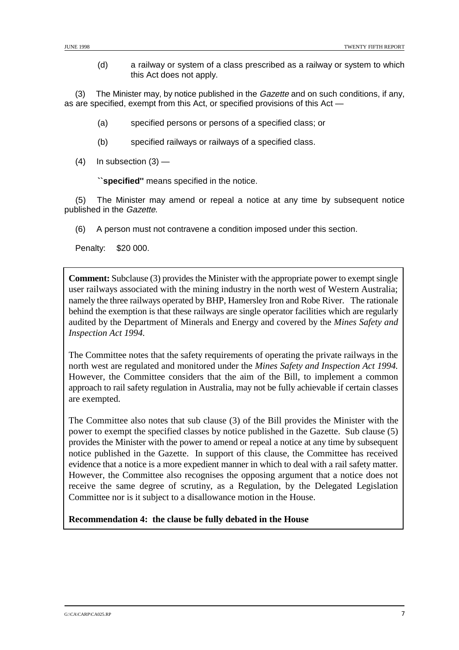(d) a railway or system of a class prescribed as a railway or system to which this Act does not apply.

(3) The Minister may, by notice published in the Gazette and on such conditions, if any, as are specified, exempt from this Act, or specified provisions of this Act —

- (a) specified persons or persons of a specified class; or
- (b) specified railways or railways of a specified class.
- $(4)$  In subsection  $(3)$  —

**``specified''** means specified in the notice.

(5) The Minister may amend or repeal a notice at any time by subsequent notice published in the Gazette.

(6) A person must not contravene a condition imposed under this section.

Penalty: \$20 000.

**Comment:** Subclause (3) provides the Minister with the appropriate power to exempt single user railways associated with the mining industry in the north west of Western Australia; namely the three railways operated by BHP, Hamersley Iron and Robe River. The rationale behind the exemption is that these railways are single operator facilities which are regularly audited by the Department of Minerals and Energy and covered by the *Mines Safety and Inspection Act 1994.*

The Committee notes that the safety requirements of operating the private railways in the north west are regulated and monitored under the *Mines Safety and Inspection Act 1994.* However, the Committee considers that the aim of the Bill, to implement a common approach to rail safety regulation in Australia, may not be fully achievable if certain classes are exempted.

The Committee also notes that sub clause (3) of the Bill provides the Minister with the power to exempt the specified classes by notice published in the Gazette. Sub clause (5) provides the Minister with the power to amend or repeal a notice at any time by subsequent notice published in the Gazette. In support of this clause, the Committee has received evidence that a notice is a more expedient manner in which to deal with a rail safety matter. However, the Committee also recognises the opposing argument that a notice does not receive the same degree of scrutiny, as a Regulation, by the Delegated Legislation Committee nor is it subject to a disallowance motion in the House.

**Recommendation 4: the clause be fully debated in the House**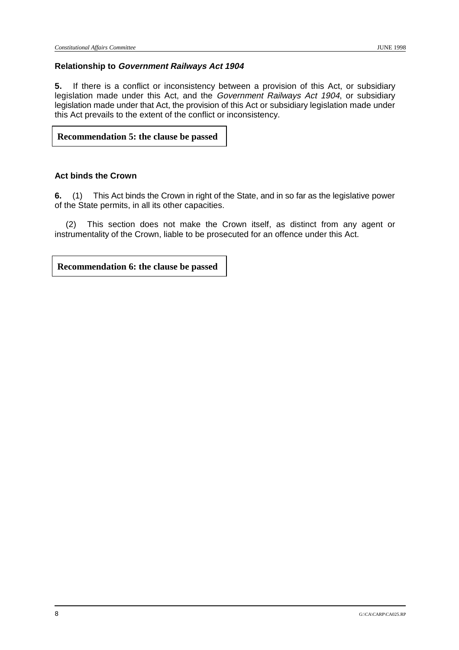## **Relationship to Government Railways Act 1904**

**5.** If there is a conflict or inconsistency between a provision of this Act, or subsidiary legislation made under this Act, and the Government Railways Act 1904, or subsidiary legislation made under that Act, the provision of this Act or subsidiary legislation made under this Act prevails to the extent of the conflict or inconsistency.

## **Recommendation 5: the clause be passed**

## **Act binds the Crown**

**6.** (1) This Act binds the Crown in right of the State, and in so far as the legislative power of the State permits, in all its other capacities.

(2) This section does not make the Crown itself, as distinct from any agent or instrumentality of the Crown, liable to be prosecuted for an offence under this Act.

**Recommendation 6: the clause be passed**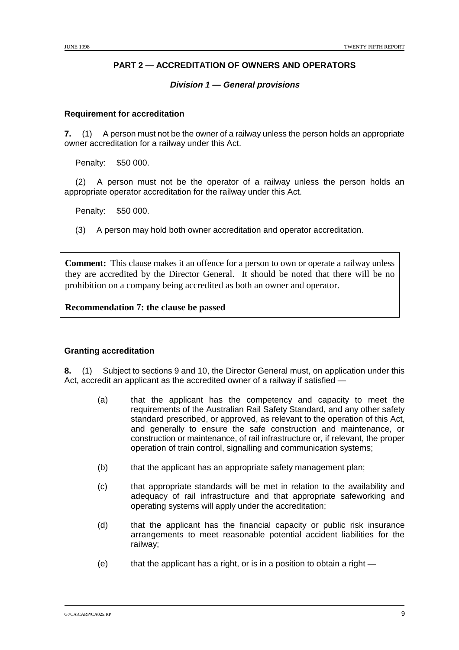## **PART 2 — ACCREDITATION OF OWNERS AND OPERATORS**

## **Division 1 — General provisions**

## **Requirement for accreditation**

**7.** (1) A person must not be the owner of a railway unless the person holds an appropriate owner accreditation for a railway under this Act.

Penalty: \$50 000.

(2) A person must not be the operator of a railway unless the person holds an appropriate operator accreditation for the railway under this Act.

Penalty: \$50 000.

(3) A person may hold both owner accreditation and operator accreditation.

**Comment:** This clause makes it an offence for a person to own or operate a railway unless they are accredited by the Director General. It should be noted that there will be no prohibition on a company being accredited as both an owner and operator.

**Recommendation 7: the clause be passed**

## **Granting accreditation**

**8.** (1) Subject to sections 9 and 10, the Director General must, on application under this Act, accredit an applicant as the accredited owner of a railway if satisfied —

- (a) that the applicant has the competency and capacity to meet the requirements of the Australian Rail Safety Standard, and any other safety standard prescribed, or approved, as relevant to the operation of this Act, and generally to ensure the safe construction and maintenance, or construction or maintenance, of rail infrastructure or, if relevant, the proper operation of train control, signalling and communication systems;
- (b) that the applicant has an appropriate safety management plan;
- (c) that appropriate standards will be met in relation to the availability and adequacy of rail infrastructure and that appropriate safeworking and operating systems will apply under the accreditation;
- (d) that the applicant has the financial capacity or public risk insurance arrangements to meet reasonable potential accident liabilities for the railway;
- $(e)$  that the applicant has a right, or is in a position to obtain a right —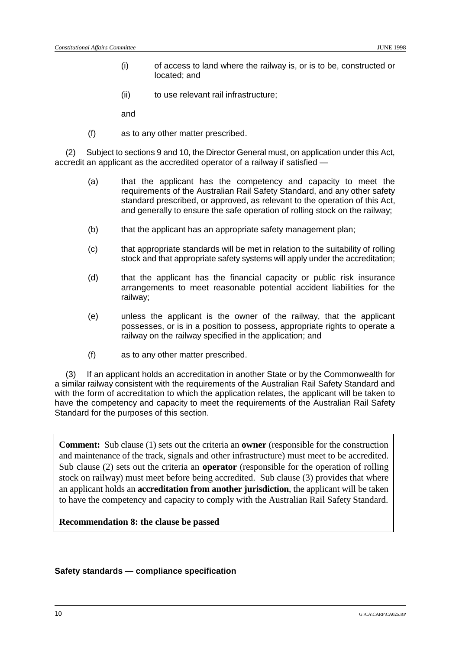- (i) of access to land where the railway is, or is to be, constructed or located; and
- (ii) to use relevant rail infrastructure;

and

(f) as to any other matter prescribed.

(2) Subject to sections 9 and 10, the Director General must, on application under this Act, accredit an applicant as the accredited operator of a railway if satisfied —

- (a) that the applicant has the competency and capacity to meet the requirements of the Australian Rail Safety Standard, and any other safety standard prescribed, or approved, as relevant to the operation of this Act, and generally to ensure the safe operation of rolling stock on the railway;
- (b) that the applicant has an appropriate safety management plan;
- (c) that appropriate standards will be met in relation to the suitability of rolling stock and that appropriate safety systems will apply under the accreditation;
- (d) that the applicant has the financial capacity or public risk insurance arrangements to meet reasonable potential accident liabilities for the railway;
- (e) unless the applicant is the owner of the railway, that the applicant possesses, or is in a position to possess, appropriate rights to operate a railway on the railway specified in the application; and
- (f) as to any other matter prescribed.

(3) If an applicant holds an accreditation in another State or by the Commonwealth for a similar railway consistent with the requirements of the Australian Rail Safety Standard and with the form of accreditation to which the application relates, the applicant will be taken to have the competency and capacity to meet the requirements of the Australian Rail Safety Standard for the purposes of this section.

**Comment:** Sub clause (1) sets out the criteria an **owner** (responsible for the construction and maintenance of the track, signals and other infrastructure) must meet to be accredited. Sub clause (2) sets out the criteria an **operator** (responsible for the operation of rolling stock on railway) must meet before being accredited. Sub clause (3) provides that where an applicant holds an **accreditation from another jurisdiction**, the applicant will be taken to have the competency and capacity to comply with the Australian Rail Safety Standard.

**Recommendation 8: the clause be passed**

#### **Safety standards — compliance specification**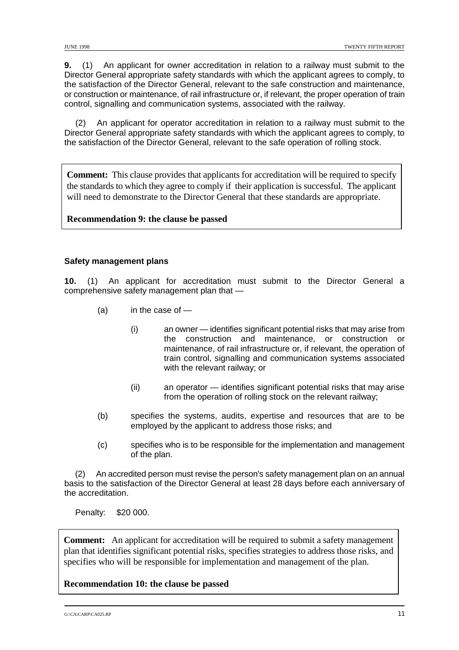**9.** (1) An applicant for owner accreditation in relation to a railway must submit to the Director General appropriate safety standards with which the applicant agrees to comply, to the satisfaction of the Director General, relevant to the safe construction and maintenance, or construction or maintenance, of rail infrastructure or, if relevant, the proper operation of train control, signalling and communication systems, associated with the railway.

(2) An applicant for operator accreditation in relation to a railway must submit to the Director General appropriate safety standards with which the applicant agrees to comply, to the satisfaction of the Director General, relevant to the safe operation of rolling stock.

**Comment:** This clause provides that applicants for accreditation will be required to specify the standards to which they agree to comply if their application is successful. The applicant will need to demonstrate to the Director General that these standards are appropriate.

**Recommendation 9: the clause be passed**

#### **Safety management plans**

**10.** (1) An applicant for accreditation must submit to the Director General a comprehensive safety management plan that —

- $(a)$  in the case of  $-$ 
	- (i) an owner identifies significant potential risks that may arise from the construction and maintenance, or construction or maintenance, of rail infrastructure or, if relevant, the operation of train control, signalling and communication systems associated with the relevant railway; or
	- (ii) an operator identifies significant potential risks that may arise from the operation of rolling stock on the relevant railway;
- (b) specifies the systems, audits, expertise and resources that are to be employed by the applicant to address those risks; and
- (c) specifies who is to be responsible for the implementation and management of the plan.

(2) An accredited person must revise the person's safety management plan on an annual basis to the satisfaction of the Director General at least 28 days before each anniversary of the accreditation.

Penalty: \$20 000.

**Comment:** An applicant for accreditation will be required to submit a safety management plan that identifies significant potential risks, specifies strategies to address those risks, and specifies who will be responsible for implementation and management of the plan.

**Recommendation 10: the clause be passed**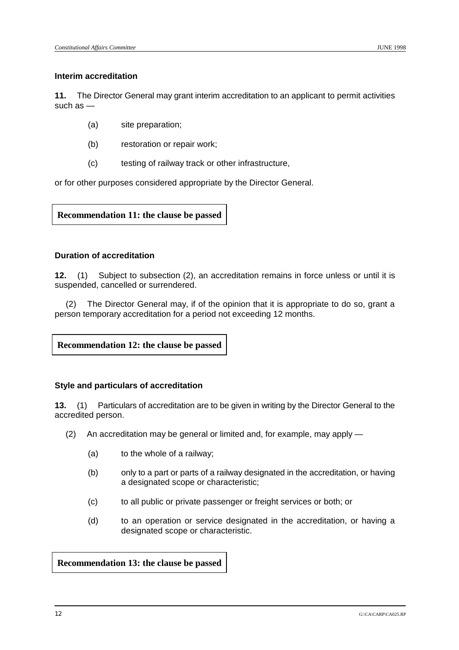#### **Interim accreditation**

**11.** The Director General may grant interim accreditation to an applicant to permit activities such as —

- (a) site preparation;
- (b) restoration or repair work;
- (c) testing of railway track or other infrastructure,

or for other purposes considered appropriate by the Director General.

**Recommendation 11: the clause be passed**

## **Duration of accreditation**

**12.** (1) Subject to subsection (2), an accreditation remains in force unless or until it is suspended, cancelled or surrendered.

(2) The Director General may, if of the opinion that it is appropriate to do so, grant a person temporary accreditation for a period not exceeding 12 months.

**Recommendation 12: the clause be passed**

#### **Style and particulars of accreditation**

**13.** (1) Particulars of accreditation are to be given in writing by the Director General to the accredited person.

- (2) An accreditation may be general or limited and, for example, may apply
	- (a) to the whole of a railway;
	- (b) only to a part or parts of a railway designated in the accreditation, or having a designated scope or characteristic;
	- (c) to all public or private passenger or freight services or both; or
	- (d) to an operation or service designated in the accreditation, or having a designated scope or characteristic.

#### **Recommendation 13: the clause be passed**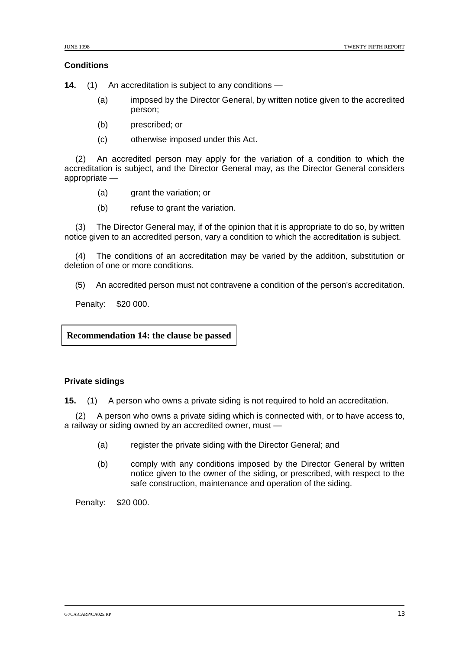#### **Conditions**

**14.** (1) An accreditation is subject to any conditions —

- (a) imposed by the Director General, by written notice given to the accredited person;
- (b) prescribed; or
- (c) otherwise imposed under this Act.

(2) An accredited person may apply for the variation of a condition to which the accreditation is subject, and the Director General may, as the Director General considers appropriate —

- (a) grant the variation; or
- (b) refuse to grant the variation.

(3) The Director General may, if of the opinion that it is appropriate to do so, by written notice given to an accredited person, vary a condition to which the accreditation is subject.

(4) The conditions of an accreditation may be varied by the addition, substitution or deletion of one or more conditions.

(5) An accredited person must not contravene a condition of the person's accreditation.

Penalty: \$20 000.

**Recommendation 14: the clause be passed**

#### **Private sidings**

**15.** (1) A person who owns a private siding is not required to hold an accreditation.

(2) A person who owns a private siding which is connected with, or to have access to, a railway or siding owned by an accredited owner, must —

- (a) register the private siding with the Director General; and
- (b) comply with any conditions imposed by the Director General by written notice given to the owner of the siding, or prescribed, with respect to the safe construction, maintenance and operation of the siding.

Penalty: \$20 000.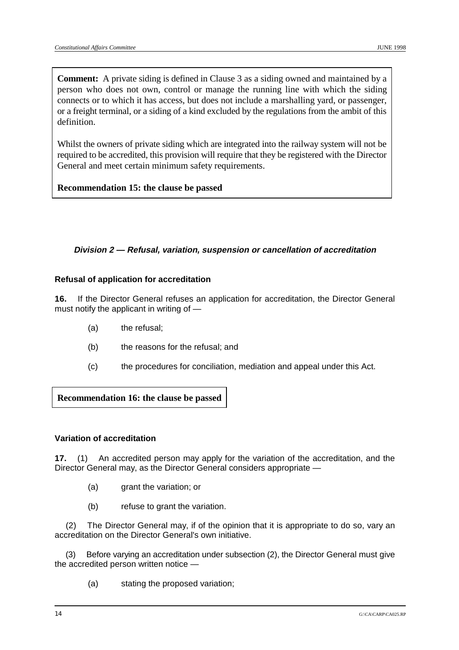**Comment:** A private siding is defined in Clause 3 as a siding owned and maintained by a person who does not own, control or manage the running line with which the siding connects or to which it has access, but does not include a marshalling yard, or passenger, or a freight terminal, or a siding of a kind excluded by the regulations from the ambit of this definition.

Whilst the owners of private siding which are integrated into the railway system will not be required to be accredited, this provision will require that they be registered with the Director General and meet certain minimum safety requirements.

**Recommendation 15: the clause be passed**

## **Division 2 — Refusal, variation, suspension or cancellation of accreditation**

## **Refusal of application for accreditation**

**16.** If the Director General refuses an application for accreditation, the Director General must notify the applicant in writing of —

- (a) the refusal;
- (b) the reasons for the refusal; and
- (c) the procedures for conciliation, mediation and appeal under this Act.

**Recommendation 16: the clause be passed**

## **Variation of accreditation**

**17.** (1) An accredited person may apply for the variation of the accreditation, and the Director General may, as the Director General considers appropriate —

- (a) grant the variation; or
- (b) refuse to grant the variation.

(2) The Director General may, if of the opinion that it is appropriate to do so, vary an accreditation on the Director General's own initiative.

(3) Before varying an accreditation under subsection (2), the Director General must give the accredited person written notice —

(a) stating the proposed variation;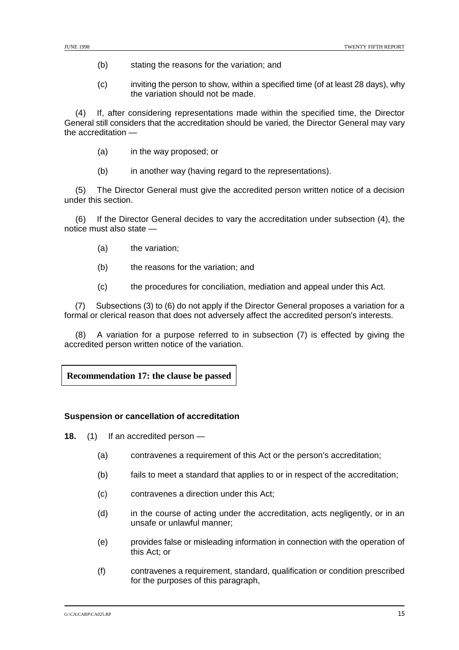- (b) stating the reasons for the variation; and
- (c) inviting the person to show, within a specified time (of at least 28 days), why the variation should not be made.

(4) If, after considering representations made within the specified time, the Director General still considers that the accreditation should be varied, the Director General may vary the accreditation —

- (a) in the way proposed; or
- (b) in another way (having regard to the representations).

(5) The Director General must give the accredited person written notice of a decision under this section.

(6) If the Director General decides to vary the accreditation under subsection (4), the notice must also state —

- (a) the variation;
- (b) the reasons for the variation; and
- (c) the procedures for conciliation, mediation and appeal under this Act.

(7) Subsections (3) to (6) do not apply if the Director General proposes a variation for a formal or clerical reason that does not adversely affect the accredited person's interests.

(8) A variation for a purpose referred to in subsection (7) is effected by giving the accredited person written notice of the variation.

## **Recommendation 17: the clause be passed**

#### **Suspension or cancellation of accreditation**

**18.** (1) If an accredited person —

- (a) contravenes a requirement of this Act or the person's accreditation;
- (b) fails to meet a standard that applies to or in respect of the accreditation;
- (c) contravenes a direction under this Act;
- (d) in the course of acting under the accreditation, acts negligently, or in an unsafe or unlawful manner;
- (e) provides false or misleading information in connection with the operation of this Act; or
- (f) contravenes a requirement, standard, qualification or condition prescribed for the purposes of this paragraph,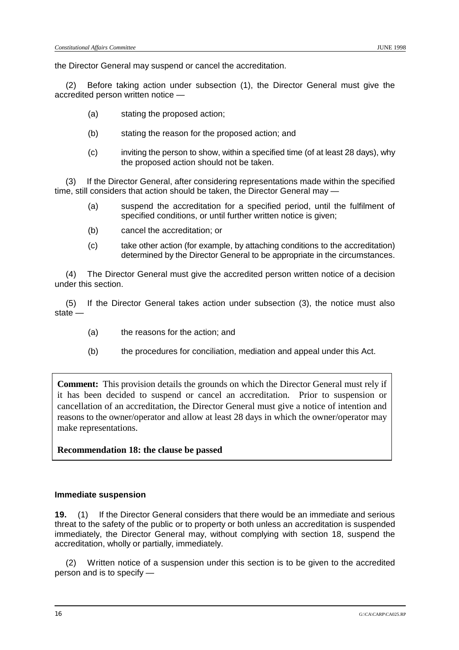the Director General may suspend or cancel the accreditation.

(2) Before taking action under subsection (1), the Director General must give the accredited person written notice —

- (a) stating the proposed action;
- (b) stating the reason for the proposed action; and
- (c) inviting the person to show, within a specified time (of at least 28 days), why the proposed action should not be taken.

(3) If the Director General, after considering representations made within the specified time, still considers that action should be taken, the Director General may —

- (a) suspend the accreditation for a specified period, until the fulfilment of specified conditions, or until further written notice is given;
- (b) cancel the accreditation; or
- (c) take other action (for example, by attaching conditions to the accreditation) determined by the Director General to be appropriate in the circumstances.

(4) The Director General must give the accredited person written notice of a decision under this section.

(5) If the Director General takes action under subsection (3), the notice must also state —

- (a) the reasons for the action; and
- (b) the procedures for conciliation, mediation and appeal under this Act.

**Comment:** This provision details the grounds on which the Director General must rely if it has been decided to suspend or cancel an accreditation. Prior to suspension or cancellation of an accreditation, the Director General must give a notice of intention and reasons to the owner/operator and allow at least 28 days in which the owner/operator may make representations.

#### **Recommendation 18: the clause be passed**

#### **Immediate suspension**

**19.** (1) If the Director General considers that there would be an immediate and serious threat to the safety of the public or to property or both unless an accreditation is suspended immediately, the Director General may, without complying with section 18, suspend the accreditation, wholly or partially, immediately.

(2) Written notice of a suspension under this section is to be given to the accredited person and is to specify —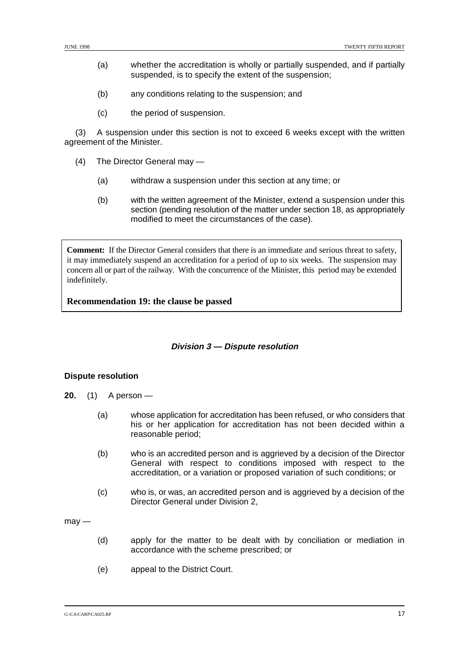- (a) whether the accreditation is wholly or partially suspended, and if partially suspended, is to specify the extent of the suspension;
- (b) any conditions relating to the suspension; and
- (c) the period of suspension.

(3) A suspension under this section is not to exceed 6 weeks except with the written agreement of the Minister.

- (4) The Director General may
	- (a) withdraw a suspension under this section at any time; or
	- (b) with the written agreement of the Minister, extend a suspension under this section (pending resolution of the matter under section 18, as appropriately modified to meet the circumstances of the case).

**Comment:** If the Director General considers that there is an immediate and serious threat to safety, it may immediately suspend an accreditation for a period of up to six weeks. The suspension may concern all or part of the railway. With the concurrence of the Minister, this period may be extended indefinitely.

**Recommendation 19: the clause be passed**

#### **Division 3 — Dispute resolution**

#### **Dispute resolution**

- **20.** (1) A person
	- (a) whose application for accreditation has been refused, or who considers that his or her application for accreditation has not been decided within a reasonable period;
	- (b) who is an accredited person and is aggrieved by a decision of the Director General with respect to conditions imposed with respect to the accreditation, or a variation or proposed variation of such conditions; or
	- (c) who is, or was, an accredited person and is aggrieved by a decision of the Director General under Division 2,

 $mav -$ 

- (d) apply for the matter to be dealt with by conciliation or mediation in accordance with the scheme prescribed; or
- (e) appeal to the District Court.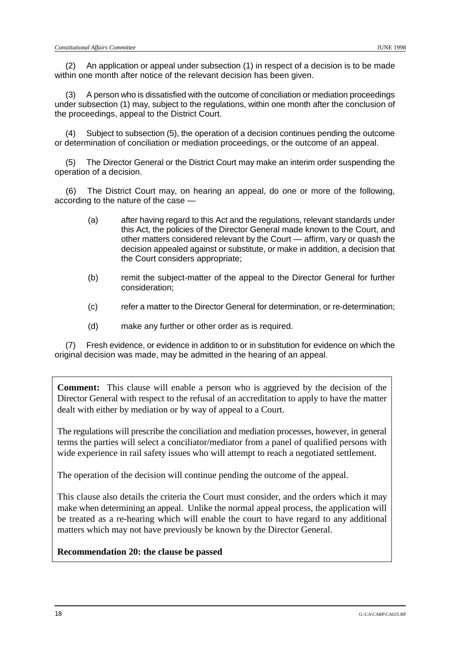(2) An application or appeal under subsection (1) in respect of a decision is to be made within one month after notice of the relevant decision has been given.

(3) A person who is dissatisfied with the outcome of conciliation or mediation proceedings under subsection (1) may, subject to the regulations, within one month after the conclusion of the proceedings, appeal to the District Court.

(4) Subject to subsection (5), the operation of a decision continues pending the outcome or determination of conciliation or mediation proceedings, or the outcome of an appeal.

(5) The Director General or the District Court may make an interim order suspending the operation of a decision.

(6) The District Court may, on hearing an appeal, do one or more of the following, according to the nature of the case —

- (a) after having regard to this Act and the regulations, relevant standards under this Act, the policies of the Director General made known to the Court, and other matters considered relevant by the Court — affirm, vary or quash the decision appealed against or substitute, or make in addition, a decision that the Court considers appropriate;
- (b) remit the subject-matter of the appeal to the Director General for further consideration;
- (c) refer a matter to the Director General for determination, or re-determination;
- (d) make any further or other order as is required.

(7) Fresh evidence, or evidence in addition to or in substitution for evidence on which the original decision was made, may be admitted in the hearing of an appeal.

**Comment:** This clause will enable a person who is aggrieved by the decision of the Director General with respect to the refusal of an accreditation to apply to have the matter dealt with either by mediation or by way of appeal to a Court.

The regulations will prescribe the conciliation and mediation processes, however, in general terms the parties will select a conciliator/mediator from a panel of qualified persons with wide experience in rail safety issues who will attempt to reach a negotiated settlement.

The operation of the decision will continue pending the outcome of the appeal.

This clause also details the criteria the Court must consider, and the orders which it may make when determining an appeal. Unlike the normal appeal process, the application will be treated as a re-hearing which will enable the court to have regard to any additional matters which may not have previously be known by the Director General.

**Recommendation 20: the clause be passed**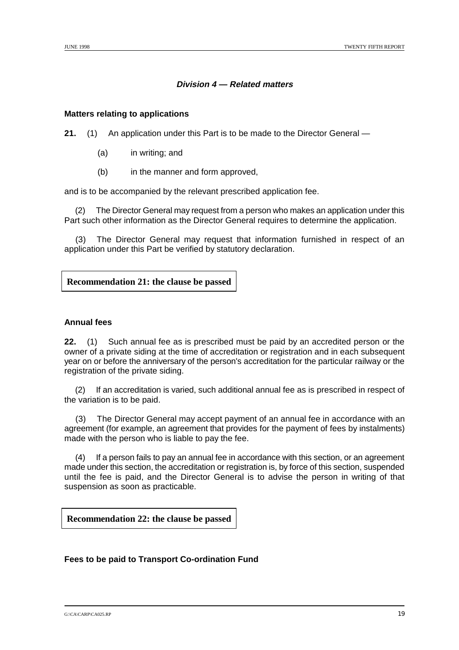## **Division 4 — Related matters**

#### **Matters relating to applications**

**21.** (1) An application under this Part is to be made to the Director General —

- (a) in writing; and
- (b) in the manner and form approved,

and is to be accompanied by the relevant prescribed application fee.

(2) The Director General may request from a person who makes an application under this Part such other information as the Director General requires to determine the application.

The Director General may request that information furnished in respect of an application under this Part be verified by statutory declaration.

## **Recommendation 21: the clause be passed**

#### **Annual fees**

**22.** (1) Such annual fee as is prescribed must be paid by an accredited person or the owner of a private siding at the time of accreditation or registration and in each subsequent year on or before the anniversary of the person's accreditation for the particular railway or the registration of the private siding.

(2) If an accreditation is varied, such additional annual fee as is prescribed in respect of the variation is to be paid.

(3) The Director General may accept payment of an annual fee in accordance with an agreement (for example, an agreement that provides for the payment of fees by instalments) made with the person who is liable to pay the fee.

(4) If a person fails to pay an annual fee in accordance with this section, or an agreement made under this section, the accreditation or registration is, by force of this section, suspended until the fee is paid, and the Director General is to advise the person in writing of that suspension as soon as practicable.

**Recommendation 22: the clause be passed**

#### **Fees to be paid to Transport Co-ordination Fund**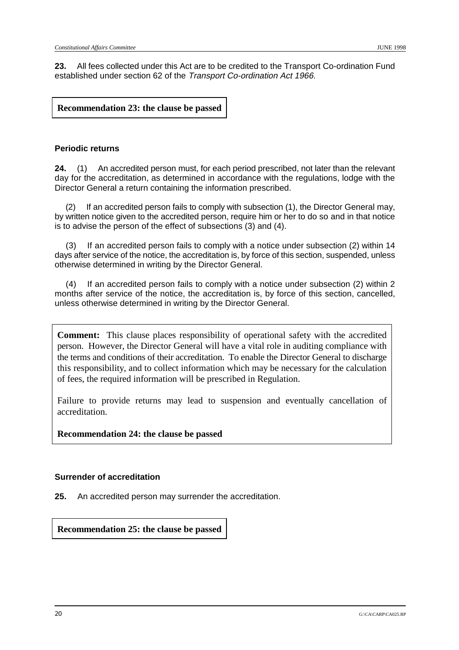**23.** All fees collected under this Act are to be credited to the Transport Co-ordination Fund established under section 62 of the Transport Co-ordination Act 1966.

**Recommendation 23: the clause be passed**

#### **Periodic returns**

**24.** (1) An accredited person must, for each period prescribed, not later than the relevant day for the accreditation, as determined in accordance with the regulations, lodge with the Director General a return containing the information prescribed.

If an accredited person fails to comply with subsection (1), the Director General may, by written notice given to the accredited person, require him or her to do so and in that notice is to advise the person of the effect of subsections (3) and (4).

(3) If an accredited person fails to comply with a notice under subsection (2) within 14 days after service of the notice, the accreditation is, by force of this section, suspended, unless otherwise determined in writing by the Director General.

(4) If an accredited person fails to comply with a notice under subsection (2) within 2 months after service of the notice, the accreditation is, by force of this section, cancelled, unless otherwise determined in writing by the Director General.

**Comment:** This clause places responsibility of operational safety with the accredited person. However, the Director General will have a vital role in auditing compliance with the terms and conditions of their accreditation. To enable the Director General to discharge this responsibility, and to collect information which may be necessary for the calculation of fees, the required information will be prescribed in Regulation.

Failure to provide returns may lead to suspension and eventually cancellation of accreditation.

**Recommendation 24: the clause be passed**

#### **Surrender of accreditation**

**25.** An accredited person may surrender the accreditation.

**Recommendation 25: the clause be passed**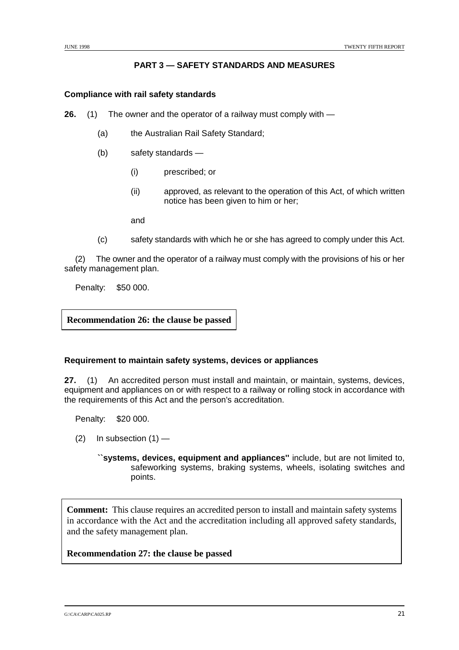## **PART 3 — SAFETY STANDARDS AND MEASURES**

#### **Compliance with rail safety standards**

**26.** (1) The owner and the operator of a railway must comply with —

- (a) the Australian Rail Safety Standard;
- (b) safety standards
	- (i) prescribed; or
	- (ii) approved, as relevant to the operation of this Act, of which written notice has been given to him or her;

and

(c) safety standards with which he or she has agreed to comply under this Act.

(2) The owner and the operator of a railway must comply with the provisions of his or her safety management plan.

Penalty: \$50 000.

**Recommendation 26: the clause be passed**

#### **Requirement to maintain safety systems, devices or appliances**

**27.** (1) An accredited person must install and maintain, or maintain, systems, devices, equipment and appliances on or with respect to a railway or rolling stock in accordance with the requirements of this Act and the person's accreditation.

Penalty: \$20 000.

- $(2)$  In subsection  $(1)$ 
	- **``systems, devices, equipment and appliances''** include, but are not limited to, safeworking systems, braking systems, wheels, isolating switches and points.

**Comment:** This clause requires an accredited person to install and maintain safety systems in accordance with the Act and the accreditation including all approved safety standards, and the safety management plan.

**Recommendation 27: the clause be passed**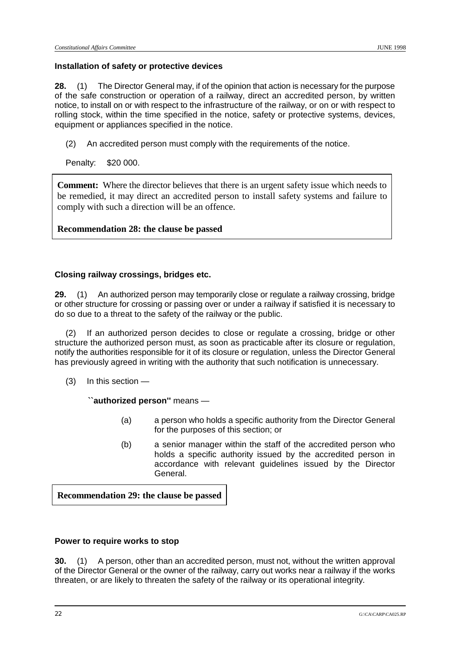#### **Installation of safety or protective devices**

**28.** (1) The Director General may, if of the opinion that action is necessary for the purpose of the safe construction or operation of a railway, direct an accredited person, by written notice, to install on or with respect to the infrastructure of the railway, or on or with respect to rolling stock, within the time specified in the notice, safety or protective systems, devices, equipment or appliances specified in the notice.

(2) An accredited person must comply with the requirements of the notice.

Penalty: \$20 000.

**Comment:** Where the director believes that there is an urgent safety issue which needs to be remedied, it may direct an accredited person to install safety systems and failure to comply with such a direction will be an offence.

**Recommendation 28: the clause be passed**

#### **Closing railway crossings, bridges etc.**

**29.** (1) An authorized person may temporarily close or regulate a railway crossing, bridge or other structure for crossing or passing over or under a railway if satisfied it is necessary to do so due to a threat to the safety of the railway or the public.

(2) If an authorized person decides to close or regulate a crossing, bridge or other structure the authorized person must, as soon as practicable after its closure or regulation, notify the authorities responsible for it of its closure or regulation, unless the Director General has previously agreed in writing with the authority that such notification is unnecessary.

(3) In this section —

**``authorized person''** means —

- (a) a person who holds a specific authority from the Director General for the purposes of this section; or
- (b) a senior manager within the staff of the accredited person who holds a specific authority issued by the accredited person in accordance with relevant guidelines issued by the Director General.

**Recommendation 29: the clause be passed**

#### **Power to require works to stop**

**30.** (1) A person, other than an accredited person, must not, without the written approval of the Director General or the owner of the railway, carry out works near a railway if the works threaten, or are likely to threaten the safety of the railway or its operational integrity.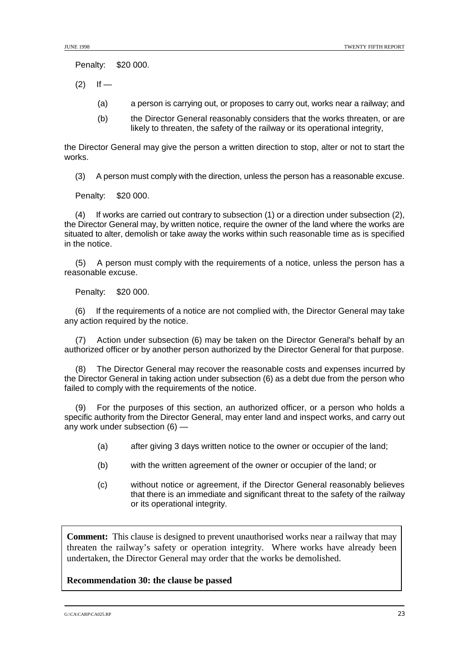Penalty: \$20 000.

- $(2)$  If
	- (a) a person is carrying out, or proposes to carry out, works near a railway; and
	- (b) the Director General reasonably considers that the works threaten, or are likely to threaten, the safety of the railway or its operational integrity,

the Director General may give the person a written direction to stop, alter or not to start the works.

(3) A person must comply with the direction, unless the person has a reasonable excuse.

Penalty: \$20 000.

(4) If works are carried out contrary to subsection (1) or a direction under subsection (2), the Director General may, by written notice, require the owner of the land where the works are situated to alter, demolish or take away the works within such reasonable time as is specified in the notice.

(5) A person must comply with the requirements of a notice, unless the person has a reasonable excuse.

Penalty: \$20 000.

(6) If the requirements of a notice are not complied with, the Director General may take any action required by the notice.

(7) Action under subsection (6) may be taken on the Director General's behalf by an authorized officer or by another person authorized by the Director General for that purpose.

(8) The Director General may recover the reasonable costs and expenses incurred by the Director General in taking action under subsection (6) as a debt due from the person who failed to comply with the requirements of the notice.

(9) For the purposes of this section, an authorized officer, or a person who holds a specific authority from the Director General, may enter land and inspect works, and carry out any work under subsection (6) —

- (a) after giving 3 days written notice to the owner or occupier of the land;
- (b) with the written agreement of the owner or occupier of the land; or
- (c) without notice or agreement, if the Director General reasonably believes that there is an immediate and significant threat to the safety of the railway or its operational integrity.

**Comment:** This clause is designed to prevent unauthorised works near a railway that may threaten the railway's safety or operation integrity. Where works have already been undertaken, the Director General may order that the works be demolished.

## **Recommendation 30: the clause be passed**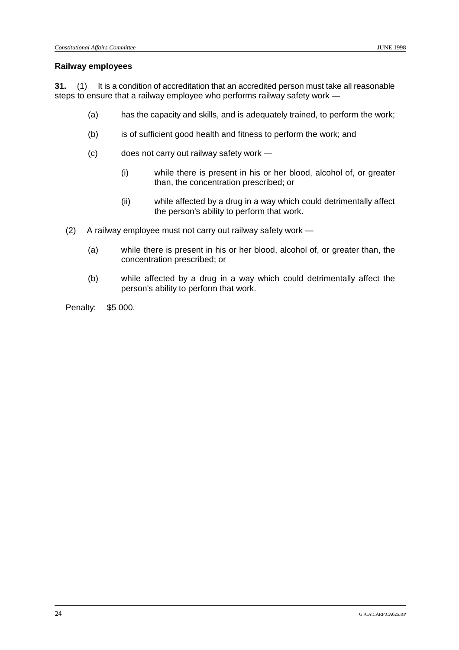#### **Railway employees**

**31.** (1) It is a condition of accreditation that an accredited person must take all reasonable steps to ensure that a railway employee who performs railway safety work —

- (a) has the capacity and skills, and is adequately trained, to perform the work;
- (b) is of sufficient good health and fitness to perform the work; and
- (c) does not carry out railway safety work
	- (i) while there is present in his or her blood, alcohol of, or greater than, the concentration prescribed; or
	- (ii) while affected by a drug in a way which could detrimentally affect the person's ability to perform that work.
- (2) A railway employee must not carry out railway safety work
	- (a) while there is present in his or her blood, alcohol of, or greater than, the concentration prescribed; or
	- (b) while affected by a drug in a way which could detrimentally affect the person's ability to perform that work.

Penalty: \$5 000.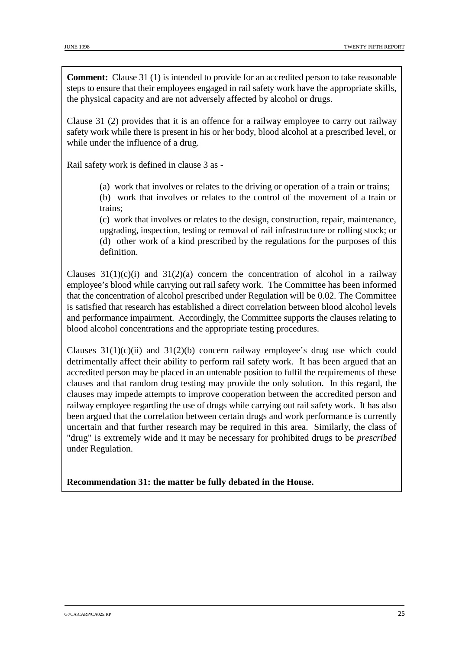**Comment:** Clause 31 (1) is intended to provide for an accredited person to take reasonable steps to ensure that their employees engaged in rail safety work have the appropriate skills, the physical capacity and are not adversely affected by alcohol or drugs.

Clause 31 (2) provides that it is an offence for a railway employee to carry out railway safety work while there is present in his or her body, blood alcohol at a prescribed level, or while under the influence of a drug.

Rail safety work is defined in clause 3 as -

(a) work that involves or relates to the driving or operation of a train or trains;

(b) work that involves or relates to the control of the movement of a train or trains;

(c) work that involves or relates to the design, construction, repair, maintenance, upgrading, inspection, testing or removal of rail infrastructure or rolling stock; or (d) other work of a kind prescribed by the regulations for the purposes of this definition.

Clauses  $31(1)(c)(i)$  and  $31(2)(a)$  concern the concentration of alcohol in a railway employee's blood while carrying out rail safety work. The Committee has been informed that the concentration of alcohol prescribed under Regulation will be 0.02. The Committee is satisfied that research has established a direct correlation between blood alcohol levels and performance impairment. Accordingly, the Committee supports the clauses relating to blood alcohol concentrations and the appropriate testing procedures.

Clauses  $31(1)(c)(ii)$  and  $31(2)(b)$  concern railway employee's drug use which could detrimentally affect their ability to perform rail safety work. It has been argued that an accredited person may be placed in an untenable position to fulfil the requirements of these clauses and that random drug testing may provide the only solution. In this regard, the clauses may impede attempts to improve cooperation between the accredited person and railway employee regarding the use of drugs while carrying out rail safety work. It has also been argued that the correlation between certain drugs and work performance is currently uncertain and that further research may be required in this area. Similarly, the class of "drug" is extremely wide and it may be necessary for prohibited drugs to be *prescribed* under Regulation.

**Recommendation 31: the matter be fully debated in the House.**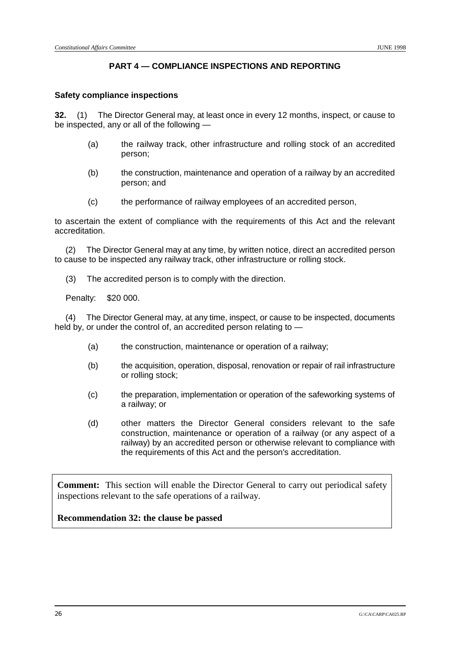## **PART 4 — COMPLIANCE INSPECTIONS AND REPORTING**

## **Safety compliance inspections**

**32.** (1) The Director General may, at least once in every 12 months, inspect, or cause to be inspected, any or all of the following —

- (a) the railway track, other infrastructure and rolling stock of an accredited person;
- (b) the construction, maintenance and operation of a railway by an accredited person; and
- (c) the performance of railway employees of an accredited person,

to ascertain the extent of compliance with the requirements of this Act and the relevant accreditation.

(2) The Director General may at any time, by written notice, direct an accredited person to cause to be inspected any railway track, other infrastructure or rolling stock.

(3) The accredited person is to comply with the direction.

Penalty: \$20 000.

(4) The Director General may, at any time, inspect, or cause to be inspected, documents held by, or under the control of, an accredited person relating to —

- (a) the construction, maintenance or operation of a railway;
- (b) the acquisition, operation, disposal, renovation or repair of rail infrastructure or rolling stock;
- (c) the preparation, implementation or operation of the safeworking systems of a railway; or
- (d) other matters the Director General considers relevant to the safe construction, maintenance or operation of a railway (or any aspect of a railway) by an accredited person or otherwise relevant to compliance with the requirements of this Act and the person's accreditation.

**Comment:** This section will enable the Director General to carry out periodical safety inspections relevant to the safe operations of a railway.

**Recommendation 32: the clause be passed**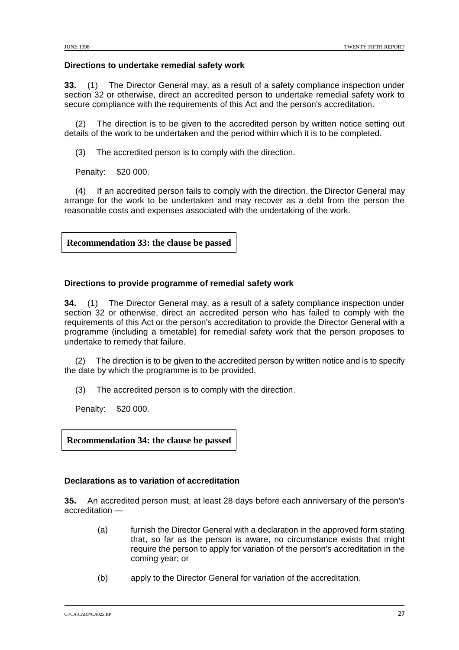## **Directions to undertake remedial safety work**

**33.** (1) The Director General may, as a result of a safety compliance inspection under section 32 or otherwise, direct an accredited person to undertake remedial safety work to secure compliance with the requirements of this Act and the person's accreditation.

(2) The direction is to be given to the accredited person by written notice setting out details of the work to be undertaken and the period within which it is to be completed.

(3) The accredited person is to comply with the direction.

Penalty: \$20 000.

(4) If an accredited person fails to comply with the direction, the Director General may arrange for the work to be undertaken and may recover as a debt from the person the reasonable costs and expenses associated with the undertaking of the work.

**Recommendation 33: the clause be passed**

## **Directions to provide programme of remedial safety work**

**34.** (1) The Director General may, as a result of a safety compliance inspection under section 32 or otherwise, direct an accredited person who has failed to comply with the requirements of this Act or the person's accreditation to provide the Director General with a programme (including a timetable) for remedial safety work that the person proposes to undertake to remedy that failure.

The direction is to be given to the accredited person by written notice and is to specify the date by which the programme is to be provided.

(3) The accredited person is to comply with the direction.

Penalty: \$20 000.

**Recommendation 34: the clause be passed**

## **Declarations as to variation of accreditation**

**35.** An accredited person must, at least 28 days before each anniversary of the person's accreditation —

- (a) furnish the Director General with a declaration in the approved form stating that, so far as the person is aware, no circumstance exists that might require the person to apply for variation of the person's accreditation in the coming year; or
- (b) apply to the Director General for variation of the accreditation.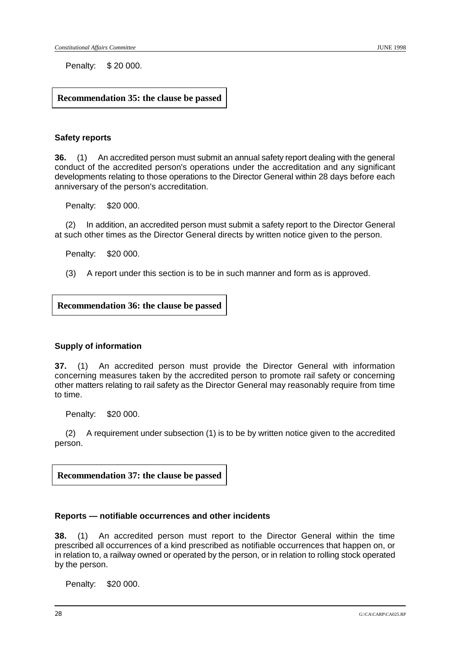Penalty: \$ 20 000.

## **Recommendation 35: the clause be passed**

#### **Safety reports**

**36.** (1) An accredited person must submit an annual safety report dealing with the general conduct of the accredited person's operations under the accreditation and any significant developments relating to those operations to the Director General within 28 days before each anniversary of the person's accreditation.

Penalty: \$20 000.

(2) In addition, an accredited person must submit a safety report to the Director General at such other times as the Director General directs by written notice given to the person.

Penalty: \$20 000.

(3) A report under this section is to be in such manner and form as is approved.

**Recommendation 36: the clause be passed**

#### **Supply of information**

**37.** (1) An accredited person must provide the Director General with information concerning measures taken by the accredited person to promote rail safety or concerning other matters relating to rail safety as the Director General may reasonably require from time to time.

Penalty: \$20 000.

(2) A requirement under subsection (1) is to be by written notice given to the accredited person.

**Recommendation 37: the clause be passed**

#### **Reports — notifiable occurrences and other incidents**

**38.** (1) An accredited person must report to the Director General within the time prescribed all occurrences of a kind prescribed as notifiable occurrences that happen on, or in relation to, a railway owned or operated by the person, or in relation to rolling stock operated by the person.

Penalty: \$20 000.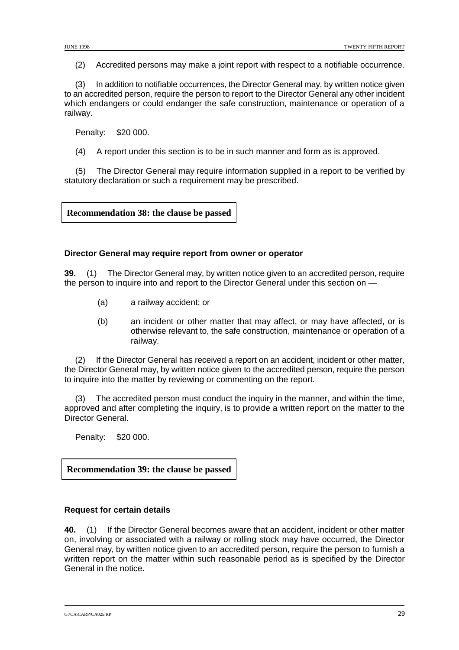(2) Accredited persons may make a joint report with respect to a notifiable occurrence.

(3) In addition to notifiable occurrences, the Director General may, by written notice given to an accredited person, require the person to report to the Director General any other incident which endangers or could endanger the safe construction, maintenance or operation of a railway.

Penalty: \$20 000.

(4) A report under this section is to be in such manner and form as is approved.

(5) The Director General may require information supplied in a report to be verified by statutory declaration or such a requirement may be prescribed.

**Recommendation 38: the clause be passed**

## **Director General may require report from owner or operator**

**39.** (1) The Director General may, by written notice given to an accredited person, require the person to inquire into and report to the Director General under this section on —

- (a) a railway accident; or
- (b) an incident or other matter that may affect, or may have affected, or is otherwise relevant to, the safe construction, maintenance or operation of a railway.

(2) If the Director General has received a report on an accident, incident or other matter, the Director General may, by written notice given to the accredited person, require the person to inquire into the matter by reviewing or commenting on the report.

The accredited person must conduct the inquiry in the manner, and within the time, approved and after completing the inquiry, is to provide a written report on the matter to the Director General.

Penalty: \$20 000.

**Recommendation 39: the clause be passed**

## **Request for certain details**

**40.** (1) If the Director General becomes aware that an accident, incident or other matter on, involving or associated with a railway or rolling stock may have occurred, the Director General may, by written notice given to an accredited person, require the person to furnish a written report on the matter within such reasonable period as is specified by the Director General in the notice.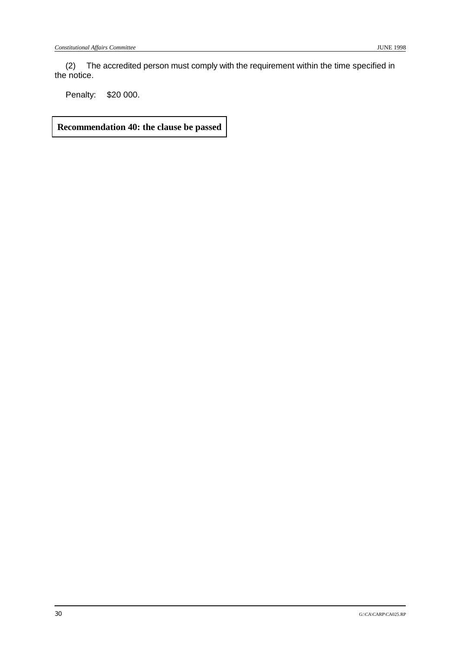(2) The accredited person must comply with the requirement within the time specified in the notice.

Penalty: \$20 000.

**Recommendation 40: the clause be passed**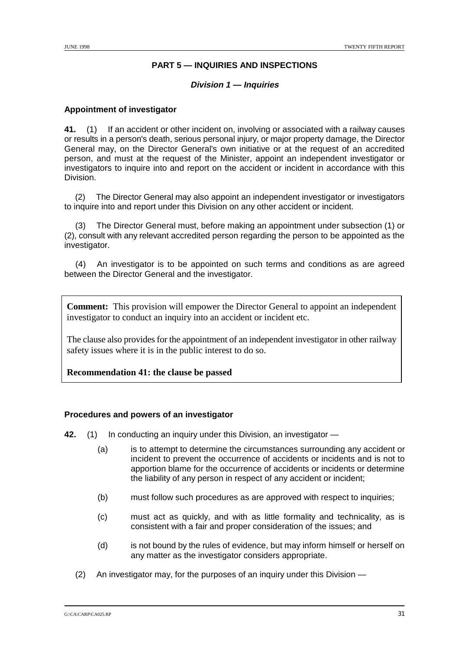## **PART 5 — INQUIRIES AND INSPECTIONS**

#### **Division 1 — Inquiries**

## **Appointment of investigator**

**41.** (1) If an accident or other incident on, involving or associated with a railway causes or results in a person's death, serious personal injury, or major property damage, the Director General may, on the Director General's own initiative or at the request of an accredited person, and must at the request of the Minister, appoint an independent investigator or investigators to inquire into and report on the accident or incident in accordance with this Division.

(2) The Director General may also appoint an independent investigator or investigators to inquire into and report under this Division on any other accident or incident.

(3) The Director General must, before making an appointment under subsection (1) or (2), consult with any relevant accredited person regarding the person to be appointed as the investigator.

(4) An investigator is to be appointed on such terms and conditions as are agreed between the Director General and the investigator.

**Comment:** This provision will empower the Director General to appoint an independent investigator to conduct an inquiry into an accident or incident etc.

The clause also provides for the appointment of an independent investigator in other railway safety issues where it is in the public interest to do so.

**Recommendation 41: the clause be passed**

#### **Procedures and powers of an investigator**

**42.** (1) In conducting an inquiry under this Division, an investigator —

- (a) is to attempt to determine the circumstances surrounding any accident or incident to prevent the occurrence of accidents or incidents and is not to apportion blame for the occurrence of accidents or incidents or determine the liability of any person in respect of any accident or incident;
- (b) must follow such procedures as are approved with respect to inquiries;
- (c) must act as quickly, and with as little formality and technicality, as is consistent with a fair and proper consideration of the issues; and
- (d) is not bound by the rules of evidence, but may inform himself or herself on any matter as the investigator considers appropriate.
- (2) An investigator may, for the purposes of an inquiry under this Division —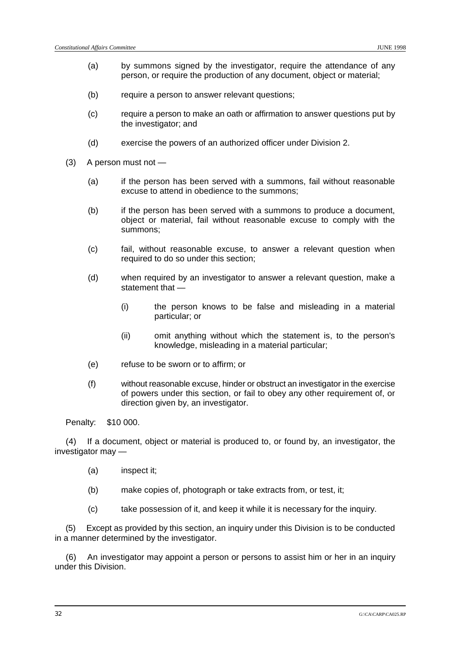- (a) by summons signed by the investigator, require the attendance of any person, or require the production of any document, object or material;
- (b) require a person to answer relevant questions;
- (c) require a person to make an oath or affirmation to answer questions put by the investigator; and
- (d) exercise the powers of an authorized officer under Division 2.
- (3) A person must not
	- (a) if the person has been served with a summons, fail without reasonable excuse to attend in obedience to the summons;
	- (b) if the person has been served with a summons to produce a document, object or material, fail without reasonable excuse to comply with the summons;
	- (c) fail, without reasonable excuse, to answer a relevant question when required to do so under this section;
	- (d) when required by an investigator to answer a relevant question, make a statement that —
		- (i) the person knows to be false and misleading in a material particular; or
		- (ii) omit anything without which the statement is, to the person's knowledge, misleading in a material particular;
	- (e) refuse to be sworn or to affirm; or
	- (f) without reasonable excuse, hinder or obstruct an investigator in the exercise of powers under this section, or fail to obey any other requirement of, or direction given by, an investigator.

Penalty: \$10 000.

(4) If a document, object or material is produced to, or found by, an investigator, the investigator may —

- (a) inspect it;
- (b) make copies of, photograph or take extracts from, or test, it;
- (c) take possession of it, and keep it while it is necessary for the inquiry.

(5) Except as provided by this section, an inquiry under this Division is to be conducted in a manner determined by the investigator.

(6) An investigator may appoint a person or persons to assist him or her in an inquiry under this Division.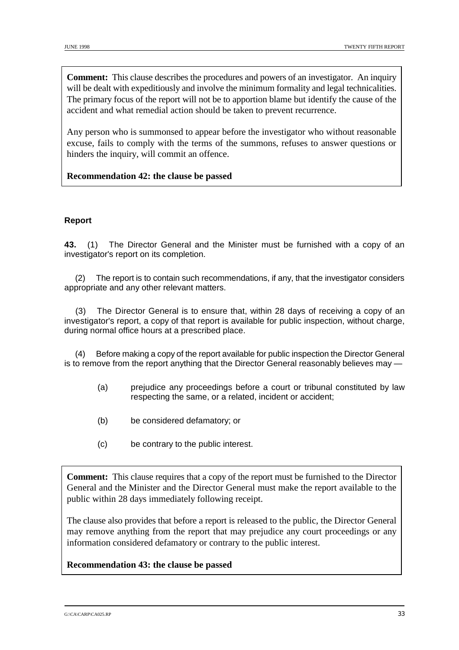**Comment:** This clause describes the procedures and powers of an investigator. An inquiry will be dealt with expeditiously and involve the minimum formality and legal technicalities. The primary focus of the report will not be to apportion blame but identify the cause of the accident and what remedial action should be taken to prevent recurrence.

Any person who is summonsed to appear before the investigator who without reasonable excuse, fails to comply with the terms of the summons, refuses to answer questions or hinders the inquiry, will commit an offence.

## **Recommendation 42: the clause be passed**

## **Report**

**43.** (1) The Director General and the Minister must be furnished with a copy of an investigator's report on its completion.

(2) The report is to contain such recommendations, if any, that the investigator considers appropriate and any other relevant matters.

(3) The Director General is to ensure that, within 28 days of receiving a copy of an investigator's report, a copy of that report is available for public inspection, without charge, during normal office hours at a prescribed place.

(4) Before making a copy of the report available for public inspection the Director General is to remove from the report anything that the Director General reasonably believes may —

- (a) prejudice any proceedings before a court or tribunal constituted by law respecting the same, or a related, incident or accident;
- (b) be considered defamatory; or
- (c) be contrary to the public interest.

**Comment:** This clause requires that a copy of the report must be furnished to the Director General and the Minister and the Director General must make the report available to the public within 28 days immediately following receipt.

The clause also provides that before a report is released to the public, the Director General may remove anything from the report that may prejudice any court proceedings or any information considered defamatory or contrary to the public interest.

#### **Recommendation 43: the clause be passed**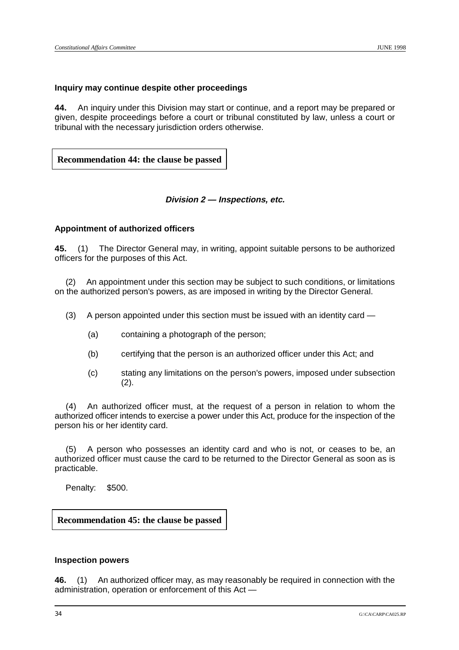#### **Inquiry may continue despite other proceedings**

**44.** An inquiry under this Division may start or continue, and a report may be prepared or given, despite proceedings before a court or tribunal constituted by law, unless a court or tribunal with the necessary jurisdiction orders otherwise.

**Recommendation 44: the clause be passed**

#### **Division 2 — Inspections, etc.**

## **Appointment of authorized officers**

**45.** (1) The Director General may, in writing, appoint suitable persons to be authorized officers for the purposes of this Act.

(2) An appointment under this section may be subject to such conditions, or limitations on the authorized person's powers, as are imposed in writing by the Director General.

(3) A person appointed under this section must be issued with an identity card —

- (a) containing a photograph of the person;
- (b) certifying that the person is an authorized officer under this Act; and
- (c) stating any limitations on the person's powers, imposed under subsection (2).

(4) An authorized officer must, at the request of a person in relation to whom the authorized officer intends to exercise a power under this Act, produce for the inspection of the person his or her identity card.

(5) A person who possesses an identity card and who is not, or ceases to be, an authorized officer must cause the card to be returned to the Director General as soon as is practicable.

Penalty: \$500.

**Recommendation 45: the clause be passed**

#### **Inspection powers**

**46.** (1) An authorized officer may, as may reasonably be required in connection with the administration, operation or enforcement of this Act —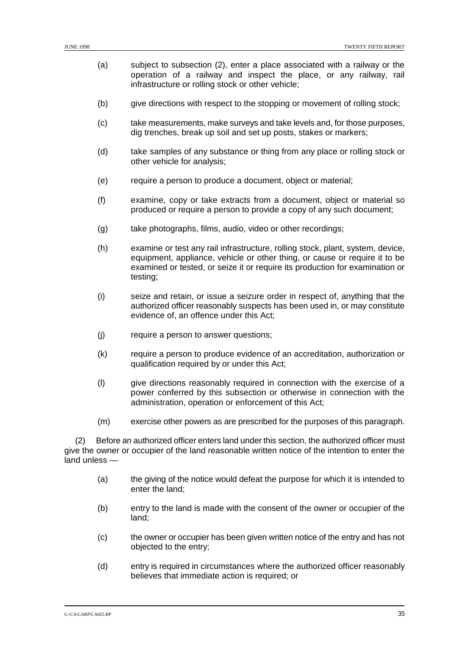- (a) subject to subsection (2), enter a place associated with a railway or the operation of a railway and inspect the place, or any railway, rail infrastructure or rolling stock or other vehicle;
- (b) give directions with respect to the stopping or movement of rolling stock;
- (c) take measurements, make surveys and take levels and, for those purposes, dig trenches, break up soil and set up posts, stakes or markers;
- (d) take samples of any substance or thing from any place or rolling stock or other vehicle for analysis;
- (e) require a person to produce a document, object or material;
- (f) examine, copy or take extracts from a document, object or material so produced or require a person to provide a copy of any such document;
- (g) take photographs, films, audio, video or other recordings;
- (h) examine or test any rail infrastructure, rolling stock, plant, system, device, equipment, appliance, vehicle or other thing, or cause or require it to be examined or tested, or seize it or require its production for examination or testing;
- (i) seize and retain, or issue a seizure order in respect of, anything that the authorized officer reasonably suspects has been used in, or may constitute evidence of, an offence under this Act;
- (j) require a person to answer questions;
- (k) require a person to produce evidence of an accreditation, authorization or qualification required by or under this Act;
- (l) give directions reasonably required in connection with the exercise of a power conferred by this subsection or otherwise in connection with the administration, operation or enforcement of this Act;
- (m) exercise other powers as are prescribed for the purposes of this paragraph.

(2) Before an authorized officer enters land under this section, the authorized officer must give the owner or occupier of the land reasonable written notice of the intention to enter the land unless —

- (a) the giving of the notice would defeat the purpose for which it is intended to enter the land;
- (b) entry to the land is made with the consent of the owner or occupier of the land;
- (c) the owner or occupier has been given written notice of the entry and has not objected to the entry;
- (d) entry is required in circumstances where the authorized officer reasonably believes that immediate action is required; or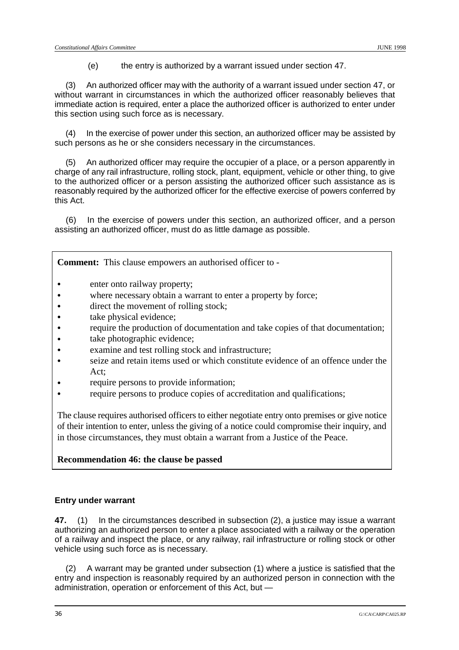(e) the entry is authorized by a warrant issued under section 47.

(3) An authorized officer may with the authority of a warrant issued under section 47, or without warrant in circumstances in which the authorized officer reasonably believes that immediate action is required, enter a place the authorized officer is authorized to enter under this section using such force as is necessary.

(4) In the exercise of power under this section, an authorized officer may be assisted by such persons as he or she considers necessary in the circumstances.

(5) An authorized officer may require the occupier of a place, or a person apparently in charge of any rail infrastructure, rolling stock, plant, equipment, vehicle or other thing, to give to the authorized officer or a person assisting the authorized officer such assistance as is reasonably required by the authorized officer for the effective exercise of powers conferred by this Act.

(6) In the exercise of powers under this section, an authorized officer, and a person assisting an authorized officer, must do as little damage as possible.

**Comment:** This clause empowers an authorised officer to -

- enter onto railway property;
- where necessary obtain a warrant to enter a property by force;
- direct the movement of rolling stock;
- take physical evidence;
- require the production of documentation and take copies of that documentation;
- take photographic evidence;
- & examine and test rolling stock and infrastructure;
- & seize and retain items used or which constitute evidence of an offence under the  $Act$
- require persons to provide information;
- & require persons to produce copies of accreditation and qualifications;

The clause requires authorised officers to either negotiate entry onto premises or give notice of their intention to enter, unless the giving of a notice could compromise their inquiry, and in those circumstances, they must obtain a warrant from a Justice of the Peace.

## **Recommendation 46: the clause be passed**

#### **Entry under warrant**

**47.** (1) In the circumstances described in subsection (2), a justice may issue a warrant authorizing an authorized person to enter a place associated with a railway or the operation of a railway and inspect the place, or any railway, rail infrastructure or rolling stock or other vehicle using such force as is necessary.

(2) A warrant may be granted under subsection (1) where a justice is satisfied that the entry and inspection is reasonably required by an authorized person in connection with the administration, operation or enforcement of this Act, but —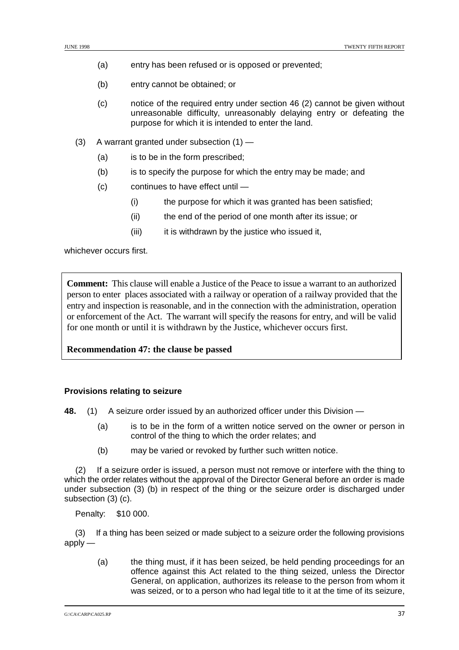- (a) entry has been refused or is opposed or prevented;
- (b) entry cannot be obtained; or
- (c) notice of the required entry under section 46 (2) cannot be given without unreasonable difficulty, unreasonably delaying entry or defeating the purpose for which it is intended to enter the land.
- (3) A warrant granted under subsection (1)
	- (a) is to be in the form prescribed:
	- (b) is to specify the purpose for which the entry may be made; and
	- (c) continues to have effect until
		- (i) the purpose for which it was granted has been satisfied;
		- (ii) the end of the period of one month after its issue; or
		- (iii) it is withdrawn by the justice who issued it,

whichever occurs first.

**Comment:** This clause will enable a Justice of the Peace to issue a warrant to an authorized person to enter places associated with a railway or operation of a railway provided that the entry and inspection is reasonable, and in the connection with the administration, operation or enforcement of the Act. The warrant will specify the reasons for entry, and will be valid for one month or until it is withdrawn by the Justice, whichever occurs first.

## **Recommendation 47: the clause be passed**

#### **Provisions relating to seizure**

**48.** (1) A seizure order issued by an authorized officer under this Division —

- (a) is to be in the form of a written notice served on the owner or person in control of the thing to which the order relates; and
- (b) may be varied or revoked by further such written notice.

(2) If a seizure order is issued, a person must not remove or interfere with the thing to which the order relates without the approval of the Director General before an order is made under subsection (3) (b) in respect of the thing or the seizure order is discharged under subsection (3) (c).

Penalty: \$10 000.

(3) If a thing has been seized or made subject to a seizure order the following provisions apply —

(a) the thing must, if it has been seized, be held pending proceedings for an offence against this Act related to the thing seized, unless the Director General, on application, authorizes its release to the person from whom it was seized, or to a person who had legal title to it at the time of its seizure,

 $G:\overline{C}:\overline{C} \times \overline{C} \times \overline{C} \times \overline{C} \times \overline{C} \times \overline{C}$  37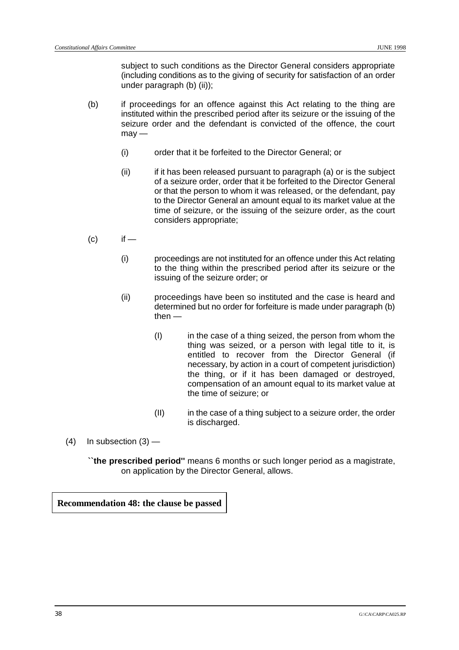subject to such conditions as the Director General considers appropriate (including conditions as to the giving of security for satisfaction of an order under paragraph (b) (ii));

- (b) if proceedings for an offence against this Act relating to the thing are instituted within the prescribed period after its seizure or the issuing of the seizure order and the defendant is convicted of the offence, the court  $m$ av —
	- (i) order that it be forfeited to the Director General; or
	- (ii) if it has been released pursuant to paragraph (a) or is the subject of a seizure order, order that it be forfeited to the Director General or that the person to whom it was released, or the defendant, pay to the Director General an amount equal to its market value at the time of seizure, or the issuing of the seizure order, as the court considers appropriate;
- $\left( c\right)$  if
	- (i) proceedings are not instituted for an offence under this Act relating to the thing within the prescribed period after its seizure or the issuing of the seizure order; or
	- (ii) proceedings have been so instituted and the case is heard and determined but no order for forfeiture is made under paragraph (b) then —
		- (I) in the case of a thing seized, the person from whom the thing was seized, or a person with legal title to it, is entitled to recover from the Director General (if necessary, by action in a court of competent jurisdiction) the thing, or if it has been damaged or destroyed, compensation of an amount equal to its market value at the time of seizure; or
		- (II) in the case of a thing subject to a seizure order, the order is discharged.
- $(4)$  In subsection  $(3)$  —

**``the prescribed period''** means 6 months or such longer period as a magistrate, on application by the Director General, allows.

**Recommendation 48: the clause be passed**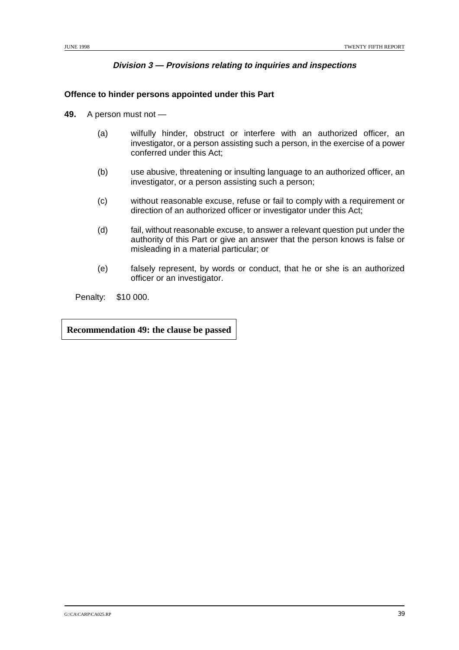## **Division 3 — Provisions relating to inquiries and inspections**

## **Offence to hinder persons appointed under this Part**

- **49.** A person must not
	- (a) wilfully hinder, obstruct or interfere with an authorized officer, an investigator, or a person assisting such a person, in the exercise of a power conferred under this Act;
	- (b) use abusive, threatening or insulting language to an authorized officer, an investigator, or a person assisting such a person;
	- (c) without reasonable excuse, refuse or fail to comply with a requirement or direction of an authorized officer or investigator under this Act;
	- (d) fail, without reasonable excuse, to answer a relevant question put under the authority of this Part or give an answer that the person knows is false or misleading in a material particular; or
	- (e) falsely represent, by words or conduct, that he or she is an authorized officer or an investigator.

Penalty: \$10 000.

**Recommendation 49: the clause be passed**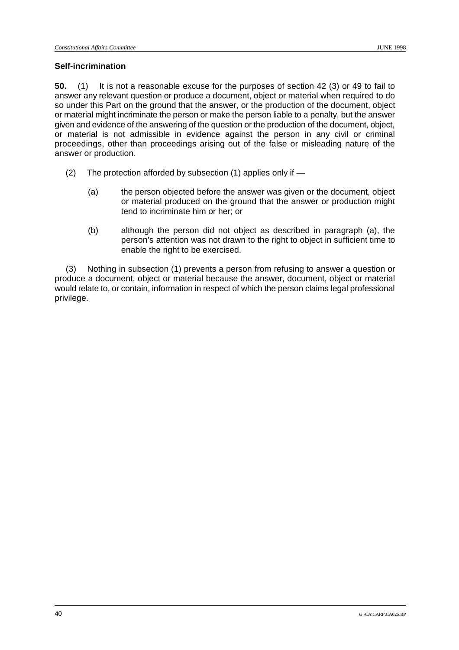## **Self-incrimination**

**50.** (1) It is not a reasonable excuse for the purposes of section 42 (3) or 49 to fail to answer any relevant question or produce a document, object or material when required to do so under this Part on the ground that the answer, or the production of the document, object or material might incriminate the person or make the person liable to a penalty, but the answer given and evidence of the answering of the question or the production of the document, object, or material is not admissible in evidence against the person in any civil or criminal proceedings, other than proceedings arising out of the false or misleading nature of the answer or production.

- (2) The protection afforded by subsection (1) applies only if
	- (a) the person objected before the answer was given or the document, object or material produced on the ground that the answer or production might tend to incriminate him or her; or
	- (b) although the person did not object as described in paragraph (a), the person's attention was not drawn to the right to object in sufficient time to enable the right to be exercised.

(3) Nothing in subsection (1) prevents a person from refusing to answer a question or produce a document, object or material because the answer, document, object or material would relate to, or contain, information in respect of which the person claims legal professional privilege.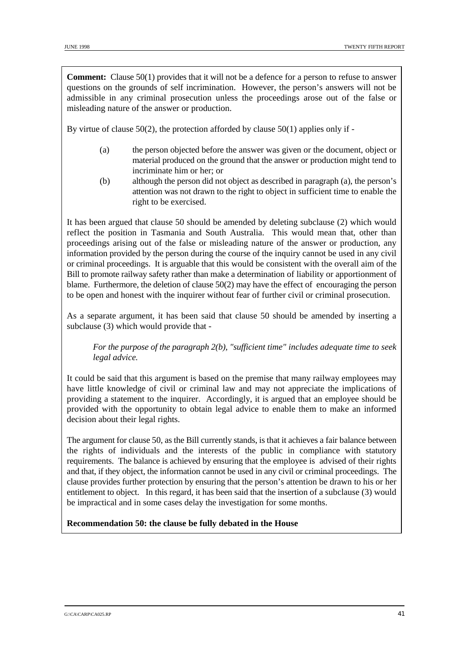**Comment:** Clause 50(1) provides that it will not be a defence for a person to refuse to answer questions on the grounds of self incrimination. However, the person's answers will not be admissible in any criminal prosecution unless the proceedings arose out of the false or misleading nature of the answer or production.

By virtue of clause  $50(2)$ , the protection afforded by clause  $50(1)$  applies only if -

- (a) the person objected before the answer was given or the document, object or material produced on the ground that the answer or production might tend to incriminate him or her; or
- (b) although the person did not object as described in paragraph (a), the person's attention was not drawn to the right to object in sufficient time to enable the right to be exercised.

It has been argued that clause 50 should be amended by deleting subclause (2) which would reflect the position in Tasmania and South Australia. This would mean that, other than proceedings arising out of the false or misleading nature of the answer or production, any information provided by the person during the course of the inquiry cannot be used in any civil or criminal proceedings. It is arguable that this would be consistent with the overall aim of the Bill to promote railway safety rather than make a determination of liability or apportionment of blame. Furthermore, the deletion of clause 50(2) may have the effect of encouraging the person to be open and honest with the inquirer without fear of further civil or criminal prosecution.

As a separate argument, it has been said that clause 50 should be amended by inserting a subclause (3) which would provide that -

*For the purpose of the paragraph 2(b), "sufficient time" includes adequate time to seek legal advice.*

It could be said that this argument is based on the premise that many railway employees may have little knowledge of civil or criminal law and may not appreciate the implications of providing a statement to the inquirer. Accordingly, it is argued that an employee should be provided with the opportunity to obtain legal advice to enable them to make an informed decision about their legal rights.

The argument for clause 50, as the Bill currently stands, is that it achieves a fair balance between the rights of individuals and the interests of the public in compliance with statutory requirements. The balance is achieved by ensuring that the employee is advised of their rights and that, if they object, the information cannot be used in any civil or criminal proceedings. The clause provides further protection by ensuring that the person's attention be drawn to his or her entitlement to object. In this regard, it has been said that the insertion of a subclause (3) would be impractical and in some cases delay the investigation for some months.

**Recommendation 50: the clause be fully debated in the House**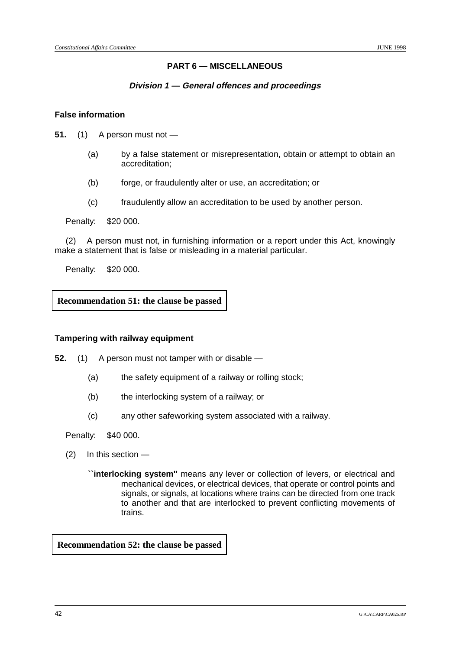## **PART 6 — MISCELLANEOUS**

#### **Division 1 — General offences and proceedings**

#### **False information**

- **51.** (1) A person must not
	- (a) by a false statement or misrepresentation, obtain or attempt to obtain an accreditation;
	- (b) forge, or fraudulently alter or use, an accreditation; or
	- (c) fraudulently allow an accreditation to be used by another person.

Penalty: \$20 000.

(2) A person must not, in furnishing information or a report under this Act, knowingly make a statement that is false or misleading in a material particular.

Penalty: \$20 000.

**Recommendation 51: the clause be passed**

#### **Tampering with railway equipment**

**52.** (1) A person must not tamper with or disable —

- (a) the safety equipment of a railway or rolling stock;
- (b) the interlocking system of a railway; or
- (c) any other safeworking system associated with a railway.

Penalty: \$40 000.

(2) In this section —

**``interlocking system''** means any lever or collection of levers, or electrical and mechanical devices, or electrical devices, that operate or control points and signals, or signals, at locations where trains can be directed from one track to another and that are interlocked to prevent conflicting movements of trains.

**Recommendation 52: the clause be passed**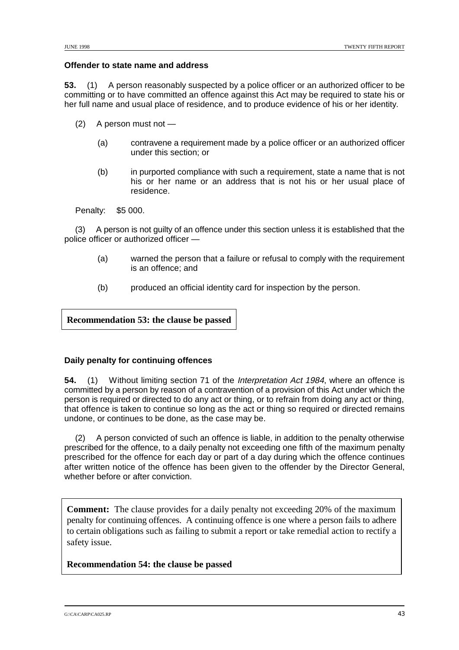#### **Offender to state name and address**

**53.** (1) A person reasonably suspected by a police officer or an authorized officer to be committing or to have committed an offence against this Act may be required to state his or her full name and usual place of residence, and to produce evidence of his or her identity.

- (2) A person must not
	- (a) contravene a requirement made by a police officer or an authorized officer under this section; or
	- (b) in purported compliance with such a requirement, state a name that is not his or her name or an address that is not his or her usual place of residence.

Penalty: \$5 000.

(3) A person is not guilty of an offence under this section unless it is established that the police officer or authorized officer —

- (a) warned the person that a failure or refusal to comply with the requirement is an offence; and
- (b) produced an official identity card for inspection by the person.

**Recommendation 53: the clause be passed**

## **Daily penalty for continuing offences**

**54.** (1) Without limiting section 71 of the Interpretation Act 1984, where an offence is committed by a person by reason of a contravention of a provision of this Act under which the person is required or directed to do any act or thing, or to refrain from doing any act or thing, that offence is taken to continue so long as the act or thing so required or directed remains undone, or continues to be done, as the case may be.

(2) A person convicted of such an offence is liable, in addition to the penalty otherwise prescribed for the offence, to a daily penalty not exceeding one fifth of the maximum penalty prescribed for the offence for each day or part of a day during which the offence continues after written notice of the offence has been given to the offender by the Director General, whether before or after conviction.

**Comment:** The clause provides for a daily penalty not exceeding 20% of the maximum penalty for continuing offences. A continuing offence is one where a person fails to adhere to certain obligations such as failing to submit a report or take remedial action to rectify a safety issue.

**Recommendation 54: the clause be passed**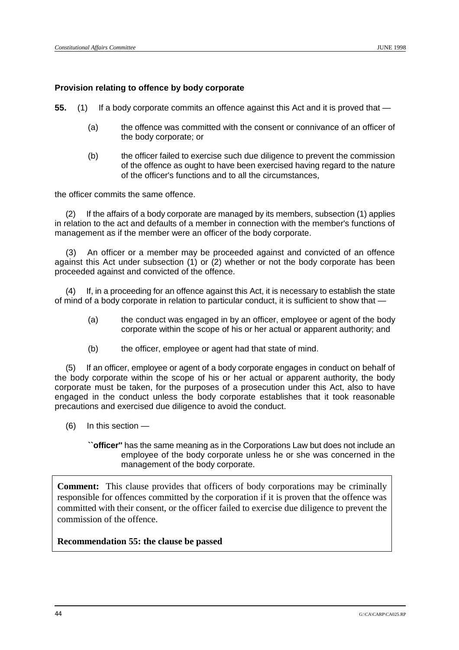#### **Provision relating to offence by body corporate**

**55.** (1) If a body corporate commits an offence against this Act and it is proved that —

- (a) the offence was committed with the consent or connivance of an officer of the body corporate; or
- (b) the officer failed to exercise such due diligence to prevent the commission of the offence as ought to have been exercised having regard to the nature of the officer's functions and to all the circumstances,

the officer commits the same offence.

(2) If the affairs of a body corporate are managed by its members, subsection (1) applies in relation to the act and defaults of a member in connection with the member's functions of management as if the member were an officer of the body corporate.

(3) An officer or a member may be proceeded against and convicted of an offence against this Act under subsection (1) or (2) whether or not the body corporate has been proceeded against and convicted of the offence.

If, in a proceeding for an offence against this Act, it is necessary to establish the state of mind of a body corporate in relation to particular conduct, it is sufficient to show that —

- (a) the conduct was engaged in by an officer, employee or agent of the body corporate within the scope of his or her actual or apparent authority; and
- (b) the officer, employee or agent had that state of mind.

(5) If an officer, employee or agent of a body corporate engages in conduct on behalf of the body corporate within the scope of his or her actual or apparent authority, the body corporate must be taken, for the purposes of a prosecution under this Act, also to have engaged in the conduct unless the body corporate establishes that it took reasonable precautions and exercised due diligence to avoid the conduct.

- (6) In this section
	- **``officer''** has the same meaning as in the Corporations Law but does not include an employee of the body corporate unless he or she was concerned in the management of the body corporate.

**Comment:** This clause provides that officers of body corporations may be criminally responsible for offences committed by the corporation if it is proven that the offence was committed with their consent, or the officer failed to exercise due diligence to prevent the commission of the offence.

**Recommendation 55: the clause be passed**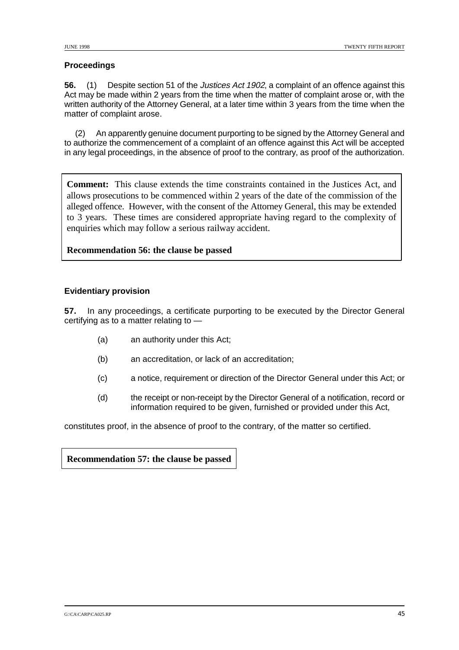## **Proceedings**

**56.** (1) Despite section 51 of the Justices Act 1902, a complaint of an offence against this Act may be made within 2 years from the time when the matter of complaint arose or, with the written authority of the Attorney General, at a later time within 3 years from the time when the matter of complaint arose.

(2) An apparently genuine document purporting to be signed by the Attorney General and to authorize the commencement of a complaint of an offence against this Act will be accepted in any legal proceedings, in the absence of proof to the contrary, as proof of the authorization.

**Comment:** This clause extends the time constraints contained in the Justices Act, and allows prosecutions to be commenced within 2 years of the date of the commission of the alleged offence. However, with the consent of the Attorney General, this may be extended to 3 years. These times are considered appropriate having regard to the complexity of enquiries which may follow a serious railway accident.

## **Recommendation 56: the clause be passed**

## **Evidentiary provision**

**57.** In any proceedings, a certificate purporting to be executed by the Director General certifying as to a matter relating to —

- (a) an authority under this Act;
- (b) an accreditation, or lack of an accreditation;
- (c) a notice, requirement or direction of the Director General under this Act; or
- (d) the receipt or non-receipt by the Director General of a notification, record or information required to be given, furnished or provided under this Act,

constitutes proof, in the absence of proof to the contrary, of the matter so certified.

## **Recommendation 57: the clause be passed**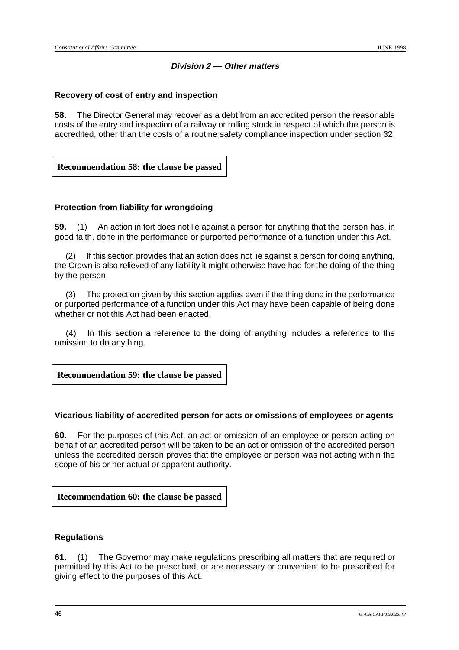## **Division 2 — Other matters**

## **Recovery of cost of entry and inspection**

**58.** The Director General may recover as a debt from an accredited person the reasonable costs of the entry and inspection of a railway or rolling stock in respect of which the person is accredited, other than the costs of a routine safety compliance inspection under section 32.

## **Recommendation 58: the clause be passed**

## **Protection from liability for wrongdoing**

**59.** (1) An action in tort does not lie against a person for anything that the person has, in good faith, done in the performance or purported performance of a function under this Act.

(2) If this section provides that an action does not lie against a person for doing anything, the Crown is also relieved of any liability it might otherwise have had for the doing of the thing by the person.

(3) The protection given by this section applies even if the thing done in the performance or purported performance of a function under this Act may have been capable of being done whether or not this Act had been enacted.

(4) In this section a reference to the doing of anything includes a reference to the omission to do anything.

**Recommendation 59: the clause be passed**

#### **Vicarious liability of accredited person for acts or omissions of employees or agents**

**60.** For the purposes of this Act, an act or omission of an employee or person acting on behalf of an accredited person will be taken to be an act or omission of the accredited person unless the accredited person proves that the employee or person was not acting within the scope of his or her actual or apparent authority.

**Recommendation 60: the clause be passed**

#### **Regulations**

**61.** (1) The Governor may make regulations prescribing all matters that are required or permitted by this Act to be prescribed, or are necessary or convenient to be prescribed for giving effect to the purposes of this Act.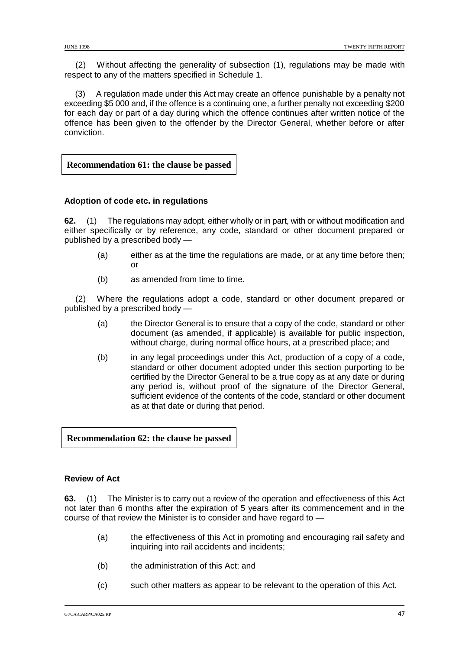(2) Without affecting the generality of subsection (1), regulations may be made with respect to any of the matters specified in Schedule 1.

(3) A regulation made under this Act may create an offence punishable by a penalty not exceeding \$5 000 and, if the offence is a continuing one, a further penalty not exceeding \$200 for each day or part of a day during which the offence continues after written notice of the offence has been given to the offender by the Director General, whether before or after conviction.

**Recommendation 61: the clause be passed**

## **Adoption of code etc. in regulations**

**62.** (1) The regulations may adopt, either wholly or in part, with or without modification and either specifically or by reference, any code, standard or other document prepared or published by a prescribed body —

- (a) either as at the time the regulations are made, or at any time before then; or
- (b) as amended from time to time.

(2) Where the regulations adopt a code, standard or other document prepared or published by a prescribed body —

- (a) the Director General is to ensure that a copy of the code, standard or other document (as amended, if applicable) is available for public inspection, without charge, during normal office hours, at a prescribed place; and
- (b) in any legal proceedings under this Act, production of a copy of a code, standard or other document adopted under this section purporting to be certified by the Director General to be a true copy as at any date or during any period is, without proof of the signature of the Director General, sufficient evidence of the contents of the code, standard or other document as at that date or during that period.

**Recommendation 62: the clause be passed**

#### **Review of Act**

**63.** (1) The Minister is to carry out a review of the operation and effectiveness of this Act not later than 6 months after the expiration of 5 years after its commencement and in the course of that review the Minister is to consider and have regard to —

- (a) the effectiveness of this Act in promoting and encouraging rail safety and inquiring into rail accidents and incidents;
- (b) the administration of this Act; and
- (c) such other matters as appear to be relevant to the operation of this Act.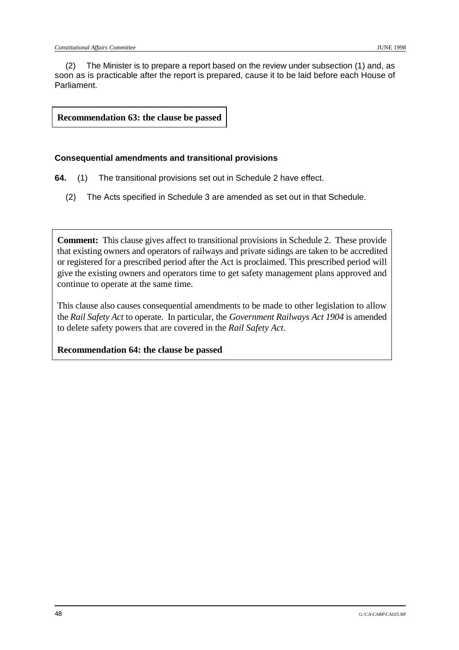(2) The Minister is to prepare a report based on the review under subsection (1) and, as soon as is practicable after the report is prepared, cause it to be laid before each House of Parliament.

**Recommendation 63: the clause be passed**

#### **Consequential amendments and transitional provisions**

- **64.** (1) The transitional provisions set out in Schedule 2 have effect.
	- (2) The Acts specified in Schedule 3 are amended as set out in that Schedule.

**Comment:** This clause gives affect to transitional provisions in Schedule 2. These provide that existing owners and operators of railways and private sidings are taken to be accredited or registered for a prescribed period after the Act is proclaimed. This prescribed period will give the existing owners and operators time to get safety management plans approved and continue to operate at the same time.

This clause also causes consequential amendments to be made to other legislation to allow the *Rail Safety Act* to operate. In particular, the *Government Railways Act 1904* is amended to delete safety powers that are covered in the *Rail Safety Act*.

**Recommendation 64: the clause be passed**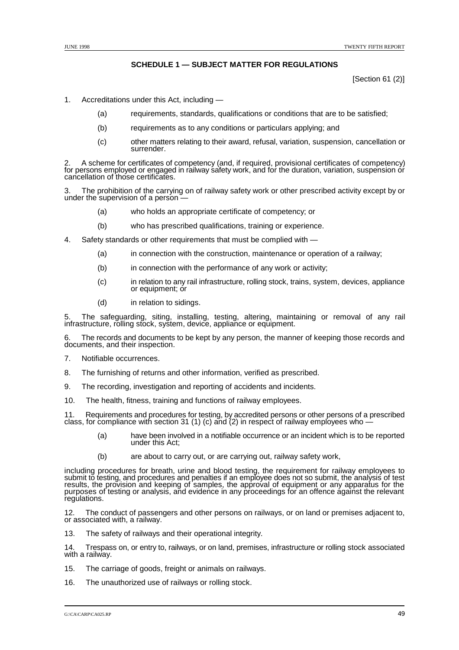#### **SCHEDULE 1 — SUBJECT MATTER FOR REGULATIONS**

[Section 61 (2)]

- 1. Accreditations under this Act, including
	- (a) requirements, standards, qualifications or conditions that are to be satisfied;
	- (b) requirements as to any conditions or particulars applying; and
	- (c) other matters relating to their award, refusal, variation, suspension, cancellation or surrender.

2. A scheme for certificates of competency (and, if required, provisional certificates of competency) for persons employed or engaged in railway safety work, and for the duration, variation, suspension or<br>cancellation of those certificates.

The prohibition of the carrying on of railway safety work or other prescribed activity except by or under the supervision of a person —

- (a) who holds an appropriate certificate of competency; or
- (b) who has prescribed qualifications, training or experience.
- 4. Safety standards or other requirements that must be complied with
	- (a) in connection with the construction, maintenance or operation of a railway;
	- (b) in connection with the performance of any work or activity;
	- (c) in relation to any rail infrastructure, rolling stock, trains, system, devices, appliance or equipment; or
	- (d) in relation to sidings.

5. The safeguarding, siting, installing, testing, altering, maintaining or removal of any rail infrastructure, rolling stock, system, device, appliance or equipment.

6. The records and documents to be kept by any person, the manner of keeping those records and documents, and their inspection.

- 7. Notifiable occurrences.
- 8. The furnishing of returns and other information, verified as prescribed.
- 9. The recording, investigation and reporting of accidents and incidents.
- 10. The health, fitness, training and functions of railway employees.

11. Requirements and procedures for testing, by accredited persons or other persons of a prescribed class, for compliance with section 31 (1) (c) and (2) in respect of railway employees who  $-$ 

- (a) have been involved in a notifiable occurrence or an incident which is to be reported under this Act;
- (b) are about to carry out, or are carrying out, railway safety work,

including procedures for breath, urine and blood testing, the requirement for railway employees to submit to testing, and procedures and penalties if an employee does not so submit, the analysis of test<br>results, the provision and keeping of samples, the approval of equipment or any apparatus for the results, the provision and keeping of samples, the approval of equipment or any apparatus for the purposes of testing or analysis, and evidence in any proceedings for an offence against the relevant regulations.

12. The conduct of passengers and other persons on railways, or on land or premises adjacent to, or associated with, a railway.

13. The safety of railways and their operational integrity.

14. Trespass on, or entry to, railways, or on land, premises, infrastructure or rolling stock associated with a railway.

- 15. The carriage of goods, freight or animals on railways.
- 16. The unauthorized use of railways or rolling stock.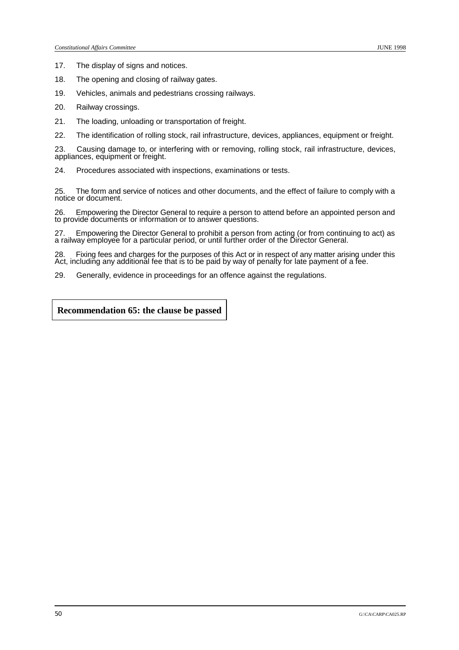17. The display of signs and notices.

- 18. The opening and closing of railway gates.
- 19. Vehicles, animals and pedestrians crossing railways.
- 20. Railway crossings.
- 21. The loading, unloading or transportation of freight.
- 22. The identification of rolling stock, rail infrastructure, devices, appliances, equipment or freight.

23. Causing damage to, or interfering with or removing, rolling stock, rail infrastructure, devices, appliances, equipment or freight.

24. Procedures associated with inspections, examinations or tests.

25. The form and service of notices and other documents, and the effect of failure to comply with a notice or document.

26. Empowering the Director General to require a person to attend before an appointed person and to provide documents or information or to answer questions.

27. Empowering the Director General to prohibit a person from acting (or from continuing to act) as a railway employee for a particular period, or until further order of the Director General.

28. Fixing fees and charges for the purposes of this Act or in respect of any matter arising under this Act, including any additional fee that is to be paid by way of penalty for late payment of a fee.

29. Generally, evidence in proceedings for an offence against the regulations.

**Recommendation 65: the clause be passed**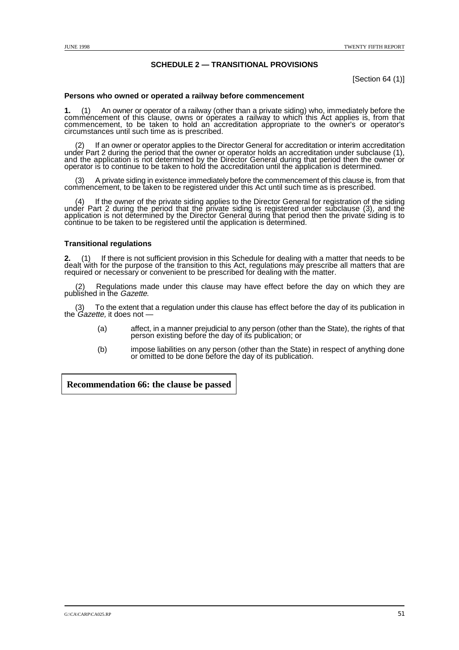#### **SCHEDULE 2 — TRANSITIONAL PROVISIONS**

[Section 64 (1)]

#### **Persons who owned or operated a railway before commencement**

**1.** (1) An owner or operator of a railway (other than a private siding) who, immediately before the commencement of this clause, owns or operates a railway to which this Act applies is, from that commencement, to be taken to hold an accreditation appropriate to the owner's or operator's circumstances until such time as is prescribed.

(2) If an owner or operator applies to the Director General for accreditation or interim accreditation under Part 2 during the period that the owner or operator holds an accreditation under subclause (1), and the applicati

(3) A private siding in existence immediately before the commencement of this clause is, from that commencement, to be taken to be registered under this Act until such time as is prescribed.

(4) If the owner of the private siding applies to the Director General for registration of the siding under Part 2 during the period that the private siding is registered under subclause (3), and the application is not det continue to be taken to be registered until the application is determined.

#### **Transitional regulations**

2. (1) If there is not sufficient provision in this Schedule for dealing with a matter that needs to be dealt with for the purpose of the transition to this Act, regulations may prescribe all matters that are required or n

(2) Regulations made under this clause may have effect before the day on which they are published in the Gazette.

(3) To the extent that a regulation under this clause has effect before the day of its publication in the *Gazette*, it does not —

- (a) affect, in a manner prejudicial to any person (other than the State), the rights of that person existing before the day of its publication; or
- (b) impose liabilities on any person (other than the State) in respect of anything done or omitted to be done before the day of its publication.

**Recommendation 66: the clause be passed**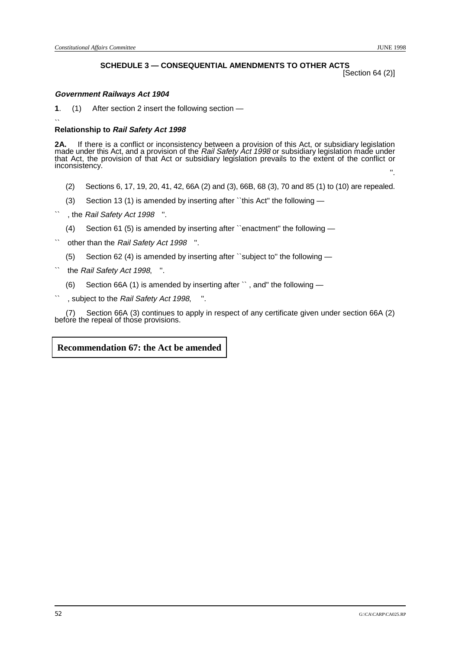## **SCHEDULE 3 — CONSEQUENTIAL AMENDMENTS TO OTHER ACTS**

[Section 64 (2)]

#### **Government Railways Act 1904**

**1**. (1) After section 2 insert the following section —

#### $\ddot{\phantom{0}}$ **Relationship to Rail Safety Act 1998**

**2A.** If there is a conflict or inconsistency between a provision of this Act, or subsidiary legislation<br>made under this Act, and a provision of the *Rail Safety Act 1998* or subsidiary legislation made under<br>that Act, the inconsistency. The construction of the construction of the construction of the construction of the construction<br>The construction of the construction of the construction of the construction of the construction of the constr

- (2) Sections 6, 17, 19, 20, 41, 42, 66A (2) and (3), 66B, 68 (3), 70 and 85 (1) to (10) are repealed.
- (3) Section 13 (1) is amended by inserting after ``this Act'' the following —
- , the Rail Safety Act 1998 ".
	- (4) Section 61 (5) is amended by inserting after ``enactment'' the following —
- other than the Rail Safety Act 1998 ".
	- (5) Section 62 (4) is amended by inserting after ``subject to'' the following —
- the Rail Safety Act 1998. ".
	- (6) Section 66A (1) is amended by inserting after `` , and'' the following —
- , subject to the Rail Safety Act 1998, ".

(7) Section 66A (3) continues to apply in respect of any certificate given under section 66A (2) before the repeal of those provisions.

#### **Recommendation 67: the Act be amended**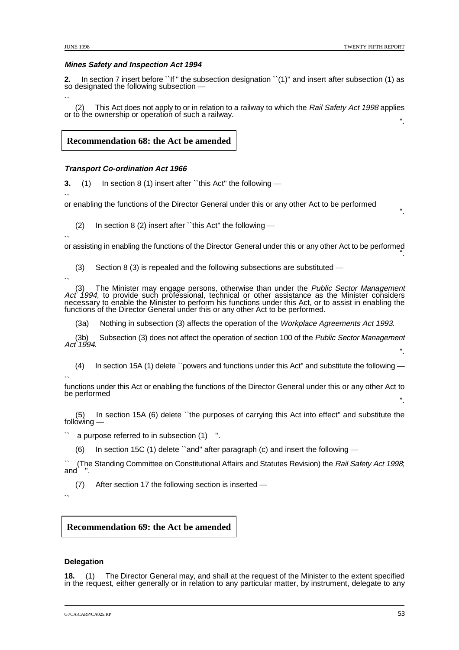#### **Mines Safety and Inspection Act 1994**

**2.** In section 7 insert before ``If " the subsection designation ``(1)" and insert after subsection (1) as so designated the following subsection —

(2) This Act does not apply to or in relation to a railway to which the Rail Safety Act 1998 applies or to the ownership or operation of such a railway.

#### **Recommendation 68: the Act be amended**

#### **Transport Co-ordination Act 1966**

**3.** (1) In section 8 (1) insert after ``this Act'' the following —

 $\ddot{\phantom{0}}$ or enabling the functions of the Director General under this or any other Act to be performed

(2) In section 8 (2) insert after ``this Act'' the following —

 $\ddot{\phantom{0}}$ 

or assisting in enabling the functions of the Director General under this or any other Act to be performed<br>.''

(3) Section 8 (3) is repealed and the following subsections are substituted —

(3) The Minister may engage persons, otherwise than under the *Public Sector Management Act 1994*, to provide such professional, technical or other assistance as the Minister considers necessary to enable the Minister to functions of the Director General under this or any other Act to be performed.

(3a) Nothing in subsection (3) affects the operation of the Workplace Agreements Act 1993.

(3b) Subsection (3) does not affect the operation of section 100 of the *Public Sector Management* Act 1994.

(4) In section 15A (1) delete ``powers and functions under this Act'' and substitute the following —

`` functions under this Act or enabling the functions of the Director General under this or any other Act to be performed

(5) In section 15A (6) delete ``the purposes of carrying this Act into effect'' and substitute the following —

a purpose referred to in subsection (1) ".

(6) In section 15C (1) delete ``and'' after paragraph (c) and insert the following —

(The Standing Committee on Constitutional Affairs and Statutes Revision) the Rail Safety Act 1998; and

(7) After section 17 the following section is inserted —

 $\ddot{\phantom{0}}$ 

## **Recommendation 69: the Act be amended**

#### **Delegation**

**18.** (1) The Director General may, and shall at the request of the Minister to the extent specified in the request, either generally or in relation to any particular matter, by instrument, delegate to any